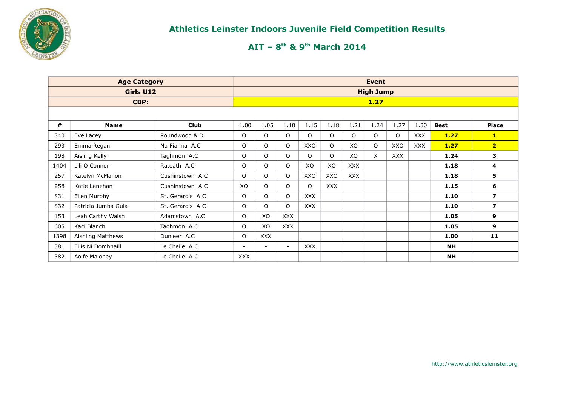

|      | <b>Age Category</b> |                  |            |                          |            |            |            |            | <b>Event</b>     |              |            |             |                |
|------|---------------------|------------------|------------|--------------------------|------------|------------|------------|------------|------------------|--------------|------------|-------------|----------------|
|      | Girls U12           |                  |            |                          |            |            |            |            | <b>High Jump</b> |              |            |             |                |
|      | CBP:                |                  |            |                          |            |            |            |            | 1.27             |              |            |             |                |
|      |                     |                  |            |                          |            |            |            |            |                  |              |            |             |                |
| #    | <b>Name</b>         | <b>Club</b>      | 1.00       | 1.05                     | 1.10       | 1.15       | 1.18       | 1.21       | 1.24             | 1.27         | 1.30       | <b>Best</b> | <b>Place</b>   |
| 840  | Eve Lacey           | Roundwood & D.   | 0          | $\circ$                  | O          | O          | O          | O          | O                | $\mathsf{O}$ | <b>XXX</b> | 1.27        | $\mathbf{1}$   |
| 293  | Emma Regan          | Na Fianna A.C    | 0          | 0                        | O          | XXO        | $\Omega$   | XO         | O                | XXO          | <b>XXX</b> | 1.27        | $\overline{2}$ |
| 198  | Aisling Kelly       | Taghmon A.C      | O          | $\circ$                  | O          | $\circ$    | O          | XO         | X                | <b>XXX</b>   |            | 1.24        | 3              |
| 1404 | Lili O Connor       | Ratoath A.C      | 0          | $\circ$                  | O          | XO         | XO         | <b>XXX</b> |                  |              |            | 1.18        | 4              |
| 257  | Katelyn McMahon     | Cushinstown A.C. | O          | $\circ$                  | O          | XXO        | XXO        | <b>XXX</b> |                  |              |            | 1.18        | 5              |
| 258  | Katie Lenehan       | Cushinstown A.C. | XO         | $\circ$                  | O          | $\circ$    | <b>XXX</b> |            |                  |              |            | 1.15        | 6              |
| 831  | Ellen Murphy        | St. Gerard's A.C | O          | $\circ$                  | O          | <b>XXX</b> |            |            |                  |              |            | 1.10        | $\overline{ }$ |
| 832  | Patricia Jumba Gula | St. Gerard's A.C | 0          | $\Omega$                 | O          | <b>XXX</b> |            |            |                  |              |            | 1.10        | $\overline{ }$ |
| 153  | Leah Carthy Walsh   | Adamstown A.C    | O          | XO                       | <b>XXX</b> |            |            |            |                  |              |            | 1.05        | 9              |
| 605  | Kaci Blanch         | Taghmon A.C      | O          | XO                       | <b>XXX</b> |            |            |            |                  |              |            | 1.05        | 9              |
| 1398 | Aishling Matthews   | Dunleer A.C      | O          | <b>XXX</b>               |            |            |            |            |                  |              |            | 1.00        | 11             |
| 381  | Eilis Ní Domhnaill  | Le Cheile A.C    | $\sim$     | $\overline{\phantom{a}}$ | $\sim$     | <b>XXX</b> |            |            |                  |              |            | <b>NH</b>   |                |
| 382  | Aoife Maloney       | Le Cheile A.C    | <b>XXX</b> |                          |            |            |            |            |                  |              |            | <b>NH</b>   |                |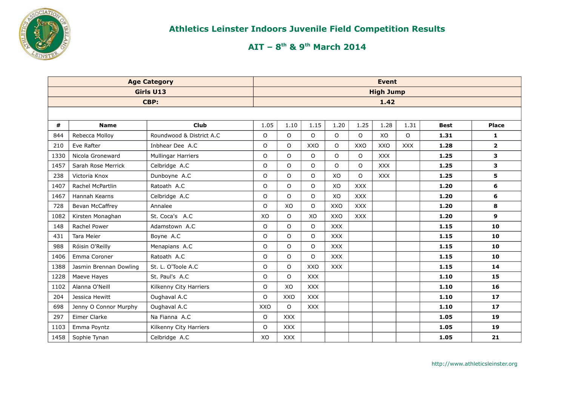

|      |                        | <b>Age Category</b>       |             |              |            |              |            | <b>Event</b>     |            |             |                |
|------|------------------------|---------------------------|-------------|--------------|------------|--------------|------------|------------------|------------|-------------|----------------|
|      |                        | Girls U13                 |             |              |            |              |            | <b>High Jump</b> |            |             |                |
|      |                        | CBP:                      |             |              |            |              |            | 1.42             |            |             |                |
|      |                        |                           |             |              |            |              |            |                  |            |             |                |
| #    | <b>Name</b>            | Club                      | 1.05        | 1.10         | 1.15       | 1.20         | 1.25       | 1.28             | 1.31       | <b>Best</b> | <b>Place</b>   |
| 844  | Rebecca Molloy         | Roundwood & District A.C. | O           | $\circ$      | $\Omega$   | $\mathsf{O}$ | $\circ$    | XO               | $\circ$    | 1.31        | $\mathbf{1}$   |
| 210  | Eve Rafter             | Inbhear Dee A.C           | $\mathsf O$ | $\circ$      | XXO        | $\Omega$     | XXO        | <b>XXO</b>       | <b>XXX</b> | 1.28        | $\overline{2}$ |
| 1330 | Nicola Groneward       | <b>Mullingar Harriers</b> | O           | $\circ$      | $\Omega$   | $\Omega$     | $\circ$    | <b>XXX</b>       |            | 1.25        | 3              |
| 1457 | Sarah Rose Merrick     | Celbridge A.C             | $\mathsf O$ | $\circ$      | O          | $\circ$      | $\circ$    | <b>XXX</b>       |            | 1.25        | $\mathbf{3}$   |
| 238  | Victoria Knox          | Dunboyne A.C              | O           | $\circ$      | $\Omega$   | XO           | $\Omega$   | <b>XXX</b>       |            | 1.25        | 5              |
| 1407 | Rachel McPartlin       | Ratoath A.C               | $\mathsf O$ | $\circ$      | $\Omega$   | XO           | <b>XXX</b> |                  |            | 1.20        | 6              |
| 1467 | Hannah Kearns          | Celbridge A.C             | $\mathsf O$ | $\circ$      | $\circ$    | XO           | <b>XXX</b> |                  |            | 1.20        | 6              |
| 728  | Bevan McCaffrey        | Annalee                   | $\circ$     | XO           | $\circ$    | XXO          | <b>XXX</b> |                  |            | 1.20        | 8              |
| 1082 | Kirsten Monaghan       | St. Coca's A.C            | XO          | $\circ$      | XO         | XXO          | <b>XXX</b> |                  |            | 1.20        | 9              |
| 148  | Rachel Power           | Adamstown A.C             | O           | $\mathsf{O}$ | $\Omega$   | <b>XXX</b>   |            |                  |            | 1.15        | 10             |
| 431  | <b>Tara Meier</b>      | Boyne A.C                 | $\mathsf O$ | $\circ$      | $\Omega$   | <b>XXX</b>   |            |                  |            | 1.15        | 10             |
| 988  | Róisin O'Reilly        | Menapians A.C             | $\mathsf O$ | $\mathsf{O}$ | $\circ$    | <b>XXX</b>   |            |                  |            | 1.15        | 10             |
| 1406 | Emma Coroner           | Ratoath A.C               | $\mathsf O$ | $\mathsf O$  | $\Omega$   | <b>XXX</b>   |            |                  |            | 1.15        | 10             |
| 1388 | Jasmin Brennan Dowling | St. L. O'Toole A.C        | $\mathsf O$ | $\Omega$     | XXO        | <b>XXX</b>   |            |                  |            | 1.15        | 14             |
| 1228 | Maeve Hayes            | St. Paul's A.C            | O           | $\Omega$     | <b>XXX</b> |              |            |                  |            | 1.10        | 15             |
| 1102 | Alanna O'Neill         | Kilkenny City Harriers    | $\mathsf O$ | XO           | <b>XXX</b> |              |            |                  |            | 1.10        | 16             |
| 204  | Jessica Hewitt         | Oughaval A.C              | $\circ$     | <b>XXO</b>   | <b>XXX</b> |              |            |                  |            | 1.10        | 17             |
| 698  | Jenny O Connor Murphy  | Oughaval A.C              | XXO         | $\circ$      | <b>XXX</b> |              |            |                  |            | 1.10        | 17             |
| 297  | Eimer Clarke           | Na Fianna A.C             | O           | <b>XXX</b>   |            |              |            |                  |            | 1.05        | 19             |
| 1103 | Emma Poyntz            | Kilkenny City Harriers    | O           | <b>XXX</b>   |            |              |            |                  |            | 1.05        | 19             |
| 1458 | Sophie Tynan           | Celbridge A.C             | XO          | <b>XXX</b>   |            |              |            |                  |            | 1.05        | 21             |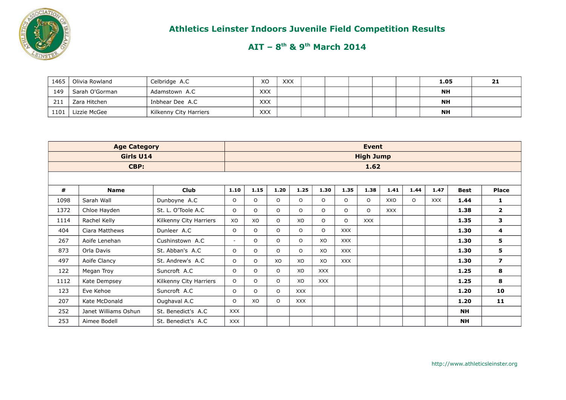

| 1465 | Olivia Rowland | Celbridge A.C          | XO         | <b>XXX</b> |  |  | 1.05      | 21 |
|------|----------------|------------------------|------------|------------|--|--|-----------|----|
| 149  | Sarah O'Gorman | Adamstown A.C          | <b>XXX</b> |            |  |  | NΗ        |    |
| 211  | Zara Hitchen   | Inbhear Dee A.C        | <b>XXX</b> |            |  |  | <b>NH</b> |    |
| 1101 | Lizzie McGee   | Kilkenny City Harriers | <b>XXX</b> |            |  |  | <b>NH</b> |    |

|      | <b>Age Category</b>  |                        |                          |         |         |            |            |            | Event            |            |          |            |             |                  |
|------|----------------------|------------------------|--------------------------|---------|---------|------------|------------|------------|------------------|------------|----------|------------|-------------|------------------|
|      | Girls U14            |                        |                          |         |         |            |            |            | <b>High Jump</b> |            |          |            |             |                  |
|      | CBP:                 |                        |                          |         |         |            |            |            | 1.62             |            |          |            |             |                  |
|      |                      |                        |                          |         |         |            |            |            |                  |            |          |            |             |                  |
| #    | <b>Name</b>          | <b>Club</b>            | 1.10                     | 1.15    | 1.20    | 1.25       | 1.30       | 1.35       | 1.38             | 1.41       | 1.44     | 1.47       | <b>Best</b> | <b>Place</b>     |
| 1098 | Sarah Wall           | Dunboyne A.C           | $\circ$                  | $\circ$ | $\circ$ | $\circ$    | $\Omega$   | $\Omega$   | $\circ$          | XXO        | $\Omega$ | <b>XXX</b> | 1.44        | 1                |
| 1372 | Chloe Hayden         | St. L. O'Toole A.C.    | $\circ$                  | $\circ$ | $\circ$ | $\Omega$   | $\circ$    | $\Omega$   | $\circ$          | <b>XXX</b> |          |            | 1.38        | $\overline{2}$   |
| 1114 | Rachel Kelly         | Kilkenny City Harriers | XO                       | XO      | $\circ$ | XO         | $\circ$    | $\circ$    | <b>XXX</b>       |            |          |            | 1.35        | 3                |
| 404  | Ciara Matthews       | Dunleer A.C            | $\circ$                  | $\circ$ | $\circ$ | $\Omega$   | $\Omega$   | <b>XXX</b> |                  |            |          |            | 1.30        | 4                |
| 267  | Aoife Lenehan        | Cushinstown A.C        | $\overline{\phantom{a}}$ | $\circ$ | $\circ$ | $\Omega$   | XO         | <b>XXX</b> |                  |            |          |            | 1.30        | 5                |
| 873  | Orla Davis           | St. Abban's A.C        | $\circ$                  | $\circ$ | $\circ$ | $\Omega$   | XO         | <b>XXX</b> |                  |            |          |            | 1.30        | 5                |
| 497  | Aoife Clancy         | St. Andrew's A.C       | $\circ$                  | $\circ$ | XO      | XO         | XO         | <b>XXX</b> |                  |            |          |            | 1.30        | $\boldsymbol{7}$ |
| 122  | Megan Troy           | Suncroft A.C           | $\circ$                  | $\circ$ | $\circ$ | XO         | <b>XXX</b> |            |                  |            |          |            | 1.25        | 8                |
| 1112 | Kate Dempsey         | Kilkenny City Harriers | $\Omega$                 | $\circ$ | $\circ$ | XO         | <b>XXX</b> |            |                  |            |          |            | 1.25        | 8                |
| 123  | Eve Kehoe            | Suncroft A.C           | $\circ$                  | $\circ$ | $\circ$ | <b>XXX</b> |            |            |                  |            |          |            | 1.20        | 10               |
| 207  | Kate McDonald        | Oughaval A.C           | $\Omega$                 | XO      | O       | <b>XXX</b> |            |            |                  |            |          |            | 1.20        | 11               |
| 252  | Janet Williams Oshun | St. Benedict's A.C     | <b>XXX</b>               |         |         |            |            |            |                  |            |          |            | <b>NH</b>   |                  |
| 253  | Aimee Bodell         | St. Benedict's A.C     | <b>XXX</b>               |         |         |            |            |            |                  |            |          |            | <b>NH</b>   |                  |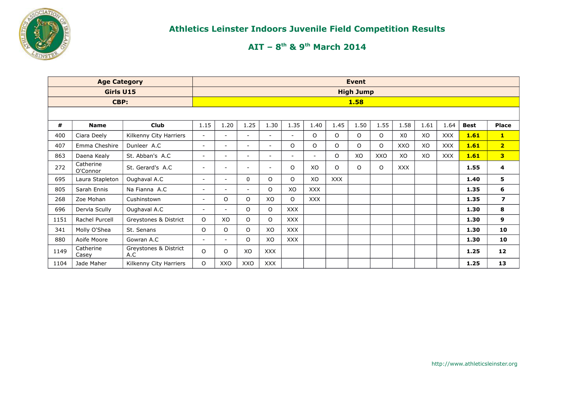

|      | <b>Age Category</b>   |                              |                          |                          |                          |                          |                          |                |            | <b>Event</b>     |          |                |      |            |             |                         |
|------|-----------------------|------------------------------|--------------------------|--------------------------|--------------------------|--------------------------|--------------------------|----------------|------------|------------------|----------|----------------|------|------------|-------------|-------------------------|
|      | Girls U15             |                              |                          |                          |                          |                          |                          |                |            | <b>High Jump</b> |          |                |      |            |             |                         |
|      | CBP:                  |                              |                          |                          |                          |                          |                          |                |            | 1.58             |          |                |      |            |             |                         |
|      |                       |                              |                          |                          |                          |                          |                          |                |            |                  |          |                |      |            |             |                         |
| #    | <b>Name</b>           | <b>Club</b>                  | 1.15                     | 1.20                     | 1.25                     | 1.30                     | 1.35                     | 1.40           | 1.45       | 1.50             | 1.55     | 1.58           | 1.61 | 1.64       | <b>Best</b> | <b>Place</b>            |
| 400  | Ciara Deely           | Kilkenny City Harriers       | $\sim$                   | $\overline{\phantom{a}}$ | $\overline{\phantom{a}}$ | $\overline{\phantom{a}}$ | $\overline{\phantom{a}}$ | $\circ$        | $\circ$    | $\circ$          | $\Omega$ | X <sub>0</sub> | XO   | <b>XXX</b> | 1.61        | $\mathbf{1}$            |
| 407  | Emma Cheshire         | Dunleer A.C                  | $\sim$                   | $\overline{\phantom{a}}$ | $\overline{\phantom{a}}$ | $\overline{\phantom{0}}$ | $\circ$                  | $\circ$        | O          | O                | $\circ$  | XXO            | XO   | <b>XXX</b> | 1.61        | 2 <sup>1</sup>          |
| 863  | Daena Kealy           | St. Abban's A.C              | $\sim$                   | $\overline{\phantom{a}}$ | $\overline{\phantom{a}}$ | $\overline{\phantom{a}}$ | $\overline{\phantom{a}}$ | $\blacksquare$ | O          | XO               | XXO      | XO             | XO   | <b>XXX</b> | 1.61        | 3                       |
| 272  | Catherine<br>O'Connor | St. Gerard's A.C             | $\overline{\phantom{a}}$ | $\overline{\phantom{a}}$ |                          | $\overline{\phantom{a}}$ | $\circ$                  | XO             | $\Omega$   | $\Omega$         | O        | <b>XXX</b>     |      |            | 1.55        | 4                       |
| 695  | Laura Stapleton       | Oughaval A.C                 | $\overline{\phantom{a}}$ | $\overline{\phantom{a}}$ | $\mathbf{0}$             | O                        | $\circ$                  | XO             | <b>XXX</b> |                  |          |                |      |            | 1.40        | 5                       |
| 805  | Sarah Ennis           | Na Fianna A.C                | $\sim$                   | $\overline{\phantom{a}}$ | $\overline{\phantom{a}}$ | $\circ$                  | XO                       | <b>XXX</b>     |            |                  |          |                |      |            | 1.35        | 6                       |
| 268  | Zoe Mohan             | Cushinstown                  | $\sim$                   | O                        | $\circ$                  | XO                       | $\circ$                  | <b>XXX</b>     |            |                  |          |                |      |            | 1.35        | $\overline{\mathbf{z}}$ |
| 696  | Dervla Scully         | Oughaval A.C                 | $\overline{\phantom{a}}$ | $\overline{\phantom{a}}$ | $\circ$                  | O                        | <b>XXX</b>               |                |            |                  |          |                |      |            | 1.30        | 8                       |
| 1151 | Rachel Purcell        | Greystones & District        | O                        | XO                       | $\circ$                  | O                        | <b>XXX</b>               |                |            |                  |          |                |      |            | 1.30        | 9                       |
| 341  | Molly O'Shea          | St. Senans                   | O                        | O                        | $\circ$                  | XO                       | <b>XXX</b>               |                |            |                  |          |                |      |            | 1.30        | 10                      |
| 880  | Aoife Moore           | Gowran A.C                   | $\sim$                   | $\overline{\phantom{a}}$ | O                        | XO                       | XXX                      |                |            |                  |          |                |      |            | 1.30        | 10                      |
| 1149 | Catherine<br>Casey    | Greystones & District<br>A.C | O                        | O                        | XO                       | <b>XXX</b>               |                          |                |            |                  |          |                |      |            | 1.25        | 12                      |
| 1104 | Jade Maher            | Kilkenny City Harriers       | O                        | XXO                      | XXO                      | <b>XXX</b>               |                          |                |            |                  |          |                |      |            | 1.25        | 13                      |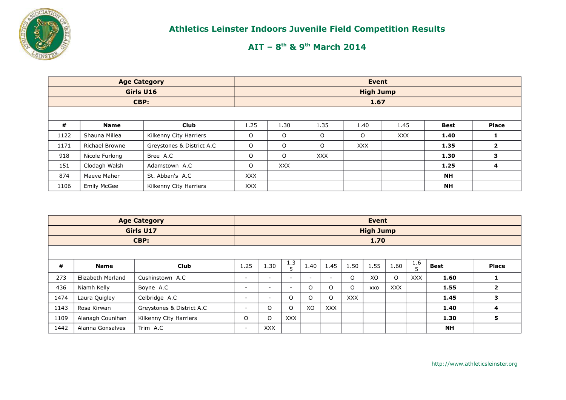

|      | <b>Age Category</b>   |                           |            |            |            | Event            |            |           |                         |
|------|-----------------------|---------------------------|------------|------------|------------|------------------|------------|-----------|-------------------------|
|      | Girls U16             |                           |            |            |            | <b>High Jump</b> |            |           |                         |
|      | CBP:                  |                           |            |            |            | 1.67             |            |           |                         |
|      |                       |                           |            |            |            |                  |            |           |                         |
| #    | <b>Name</b>           | <b>Club</b>               | 1.25       | 1.30       | 1.35       | 1.40             | 1.45       | Best      | <b>Place</b>            |
| 1122 | Shauna Millea         | Kilkenny City Harriers    | O          | O          | O          | O                | <b>XXX</b> | 1.40      |                         |
| 1171 | <b>Richael Browne</b> | Greystones & District A.C | $\circ$    | O          | O          | <b>XXX</b>       |            | 1.35      | $\overline{\mathbf{2}}$ |
| 918  | Nicole Furlong        | Bree A.C                  | O          | $\circ$    | <b>XXX</b> |                  |            | 1.30      | 3                       |
| 151  | Clodagh Walsh         | Adamstown A.C             | $\Omega$   | <b>XXX</b> |            |                  |            | 1.25      | 4                       |
| 874  | Maeve Maher           | St. Abban's A.C           | <b>XXX</b> |            |            |                  |            | <b>NH</b> |                         |
| 1106 | <b>Emily McGee</b>    | Kilkenny City Harriers    | <b>XXX</b> |            |            |                  |            | <b>NH</b> |                         |

|      |                   | <b>Age Category</b>       |                          |            |            |                          |                          |            | Event            |            |            |             |                |
|------|-------------------|---------------------------|--------------------------|------------|------------|--------------------------|--------------------------|------------|------------------|------------|------------|-------------|----------------|
|      |                   | <b>Girls U17</b>          |                          |            |            |                          |                          |            | <b>High Jump</b> |            |            |             |                |
|      |                   | CBP:                      |                          |            |            |                          |                          |            | 1.70             |            |            |             |                |
|      |                   |                           |                          |            |            |                          |                          |            |                  |            |            |             |                |
| #    | <b>Name</b>       | <b>Club</b>               | 1.25                     | 1.30       | 1.3<br>5   | 1.40                     | 1.45                     | 1.50       | 1.55             | 1.60       | 1.6<br>5   | <b>Best</b> | Place          |
| 273  | Elizabeth Morland | Cushinstown A.C           | $\overline{\phantom{0}}$ | ۰.         | $\sim$     | $\overline{\phantom{a}}$ | $\overline{\phantom{a}}$ | O          | XO               | O          | <b>XXX</b> | 1.60        | 1              |
| 436  | Niamh Kelly       | Boyne A.C                 | $\overline{\phantom{a}}$ | -          | $\sim$     | $\Omega$                 | $\circ$                  | $\circ$    | <b>XXO</b>       | <b>XXX</b> |            | 1.55        | $\overline{2}$ |
| 1474 | Laura Quigley     | Celbridge A.C             | $\overline{\phantom{0}}$ | ۰.         | O          | $\Omega$                 | O                        | <b>XXX</b> |                  |            |            | 1.45        | 3              |
| 1143 | Rosa Kirwan       | Greystones & District A.C | $\overline{\phantom{0}}$ | O          | $\circ$    | XO                       | <b>XXX</b>               |            |                  |            |            | 1.40        | 4              |
| 1109 | Alanagh Counihan  | Kilkenny City Harriers    | $\circ$                  | O          | <b>XXX</b> |                          |                          |            |                  |            |            | 1.30        | 5              |
| 1442 | Alanna Gonsalves  | Trim A.C                  | $\overline{\phantom{a}}$ | <b>XXX</b> |            |                          |                          |            |                  |            |            | <b>NH</b>   |                |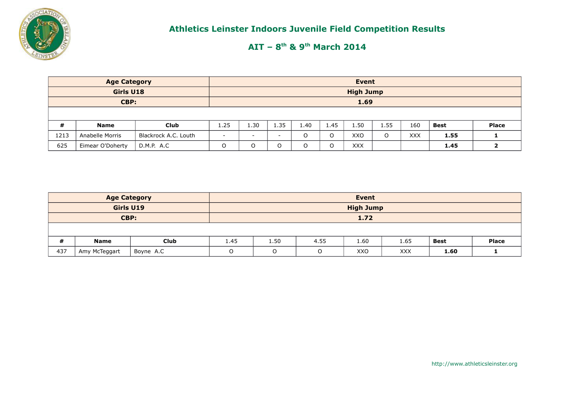

|      | <b>Age Category</b> |                      |                          |                          |                          |      |          | Event            |          |            |             |              |
|------|---------------------|----------------------|--------------------------|--------------------------|--------------------------|------|----------|------------------|----------|------------|-------------|--------------|
|      | Girls U18           |                      |                          |                          |                          |      |          | <b>High Jump</b> |          |            |             |              |
|      | CBP:                |                      |                          |                          |                          |      |          | 1.69             |          |            |             |              |
|      |                     |                      |                          |                          |                          |      |          |                  |          |            |             |              |
| #    | <b>Name</b>         | <b>Club</b>          | 1.25                     | 1.30                     | 1.35                     | 1.40 | 1.45     | 1.50             | 1.55     | 160        | <b>Best</b> | <b>Place</b> |
| 1213 | Anabelle Morris     | Blackrock A.C. Louth | $\overline{\phantom{0}}$ | $\overline{\phantom{0}}$ | $\overline{\phantom{0}}$ | O    | $\Omega$ | XXO              | $\Omega$ | <b>XXX</b> | 1.55        |              |
| 625  | Eimear O'Doherty    | D.M.P. A.C           | $\Omega$                 | $\circ$                  | O                        | O    | O        | <b>XXX</b>       |          |            | 1.45        |              |

|     | <b>Age Category</b> |             |         |      |          | Event            |            |             |              |
|-----|---------------------|-------------|---------|------|----------|------------------|------------|-------------|--------------|
|     | Girls U19           |             |         |      |          | <b>High Jump</b> |            |             |              |
|     | CBP:                |             |         |      |          | 1.72             |            |             |              |
|     |                     |             |         |      |          |                  |            |             |              |
| #   | <b>Name</b>         | <b>Club</b> | 1.45    | 1.50 | 4.55     | 1.60             | 1.65       | <b>Best</b> | <b>Place</b> |
| 437 | Amy McTeggart       | Boyne A.C   | $\circ$ | O    | $\Omega$ | XXO              | <b>XXX</b> | 1.60        |              |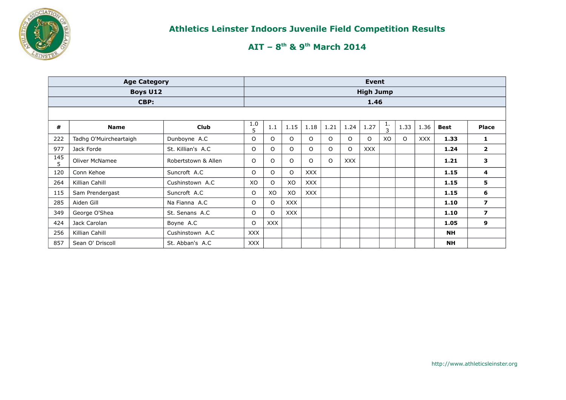

|          | <b>Age Category</b>    |                     |            |         |            |            |         |            | Event            |                    |         |            |             |                         |
|----------|------------------------|---------------------|------------|---------|------------|------------|---------|------------|------------------|--------------------|---------|------------|-------------|-------------------------|
|          | <b>Boys U12</b>        |                     |            |         |            |            |         |            | <b>High Jump</b> |                    |         |            |             |                         |
|          | CBP:                   |                     |            |         |            |            |         |            | 1.46             |                    |         |            |             |                         |
|          |                        |                     |            |         |            |            |         |            |                  |                    |         |            |             |                         |
| #        | <b>Name</b>            | <b>Club</b>         | 1.0<br>5   | 1.1     | 1.15       | 1.18       | 1.21    | 1.24       | 1.27             | ı.<br>$\mathbf{3}$ | 1.33    | 1.36       | <b>Best</b> | <b>Place</b>            |
| 222      | Tadhg O'Muircheartaigh | Dunboyne A.C        | O          | O       | $\circ$    | O          | $\circ$ | $\Omega$   | $\circ$          | XO.                | $\circ$ | <b>XXX</b> | 1.33        | 1                       |
| 977      | Jack Forde             | St. Killian's A.C.  | O          | 0       | $\circ$    | O          | $\circ$ | $\Omega$   | <b>XXX</b>       |                    |         |            | 1.24        | $\overline{\mathbf{2}}$ |
| 145<br>5 | <b>Oliver McNamee</b>  | Robertstown & Allen | $\circ$    | O       | $\circ$    | $\Omega$   | $\circ$ | <b>XXX</b> |                  |                    |         |            | 1.21        | 3                       |
| 120      | Conn Kehoe             | Suncroft A.C        | $\Omega$   | O       | $\circ$    | <b>XXX</b> |         |            |                  |                    |         |            | 1.15        | 4                       |
| 264      | Killian Cahill         | Cushinstown A.C     | XO         | 0       | XO         | <b>XXX</b> |         |            |                  |                    |         |            | 1.15        | 5                       |
| 115      | Sam Prendergast        | Suncroft A.C        | O          | XO      | XO         | <b>XXX</b> |         |            |                  |                    |         |            | 1.15        | 6                       |
| 285      | Aiden Gill             | Na Fianna A.C       | O          | $\circ$ | <b>XXX</b> |            |         |            |                  |                    |         |            | 1.10        | $\overline{\mathbf{z}}$ |
| 349      | George O'Shea          | St. Senans A.C.     | $\circ$    | O       | <b>XXX</b> |            |         |            |                  |                    |         |            | 1.10        | $\overline{\mathbf{z}}$ |
| 424      | Jack Carolan           | Boyne A.C           | $\Omega$   | XXX     |            |            |         |            |                  |                    |         |            | 1.05        | 9                       |
| 256      | Killian Cahill         | Cushinstown A.C     | <b>XXX</b> |         |            |            |         |            |                  |                    |         |            | <b>NH</b>   |                         |
| 857      | Sean O' Driscoll       | St. Abban's A.C     | <b>XXX</b> |         |            |            |         |            |                  |                    |         |            | <b>NH</b>   |                         |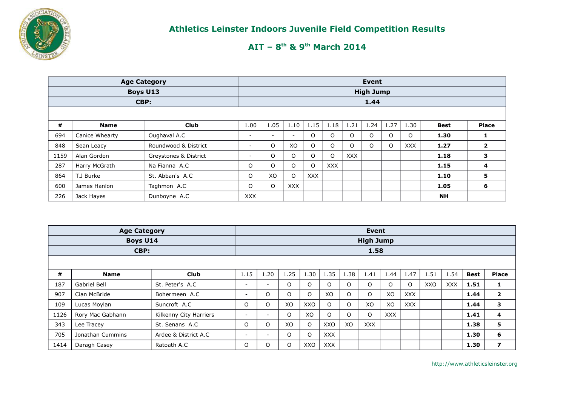

# **AIT – 8th & 9th March 2014**

|      | <b>Age Category</b> |                       |                          |                          |            |         |            |            | Event            |      |            |             |                         |
|------|---------------------|-----------------------|--------------------------|--------------------------|------------|---------|------------|------------|------------------|------|------------|-------------|-------------------------|
|      | <b>Boys U13</b>     |                       |                          |                          |            |         |            |            | <b>High Jump</b> |      |            |             |                         |
|      | CBP:                |                       |                          |                          |            |         |            |            | 1.44             |      |            |             |                         |
|      |                     |                       |                          |                          |            |         |            |            |                  |      |            |             |                         |
| #    | <b>Name</b>         | <b>Club</b>           | 1.00                     | 1.05                     | 1.10       | 1.15    | 1.18       | 1.21       | 1.24             | 1.27 | 1.30       | <b>Best</b> | <b>Place</b>            |
| 694  | Canice Whearty      | Oughaval A.C          | $\overline{\phantom{0}}$ | $\overline{\phantom{0}}$ | $\sim$     | 0       | $\circ$    | $\Omega$   | $\Omega$         | O    | O          | 1.30        | 1                       |
| 848  | Sean Leacy          | Roundwood & District  | $\overline{\phantom{0}}$ | $\circ$                  | XO         | $\circ$ | $\circ$    | $\Omega$   | $\Omega$         | O    | <b>XXX</b> | 1.27        | $\overline{\mathbf{2}}$ |
| 1159 | Alan Gordon         | Greystones & District | ۰.                       | 0                        | $\circ$    | O       | $\circ$    | <b>XXX</b> |                  |      |            | 1.18        | з                       |
| 287  | Harry McGrath       | Na Fianna A.C         | O                        | 0                        | $\circ$    | $\circ$ | <b>XXX</b> |            |                  |      |            | 1.15        | 4                       |
| 864  | T.J Burke           | St. Abban's A.C.      | O                        | XO                       | $\circ$    | XXX     |            |            |                  |      |            | 1.10        | 5                       |
| 600  | James Hanlon        | Taghmon A.C           | 0                        | $\circ$                  | <b>XXX</b> |         |            |            |                  |      |            | 1.05        | 6                       |
| 226  | Jack Hayes          | Dunboyne A.C          | <b>XXX</b>               |                          |            |         |            |            |                  |      |            | <b>NH</b>   |                         |

|      | <b>Age Category</b> |                        |                          |                          |         |          |            |          | <b>Event</b>     |            |            |      |            |             |                         |
|------|---------------------|------------------------|--------------------------|--------------------------|---------|----------|------------|----------|------------------|------------|------------|------|------------|-------------|-------------------------|
|      | Boys U14            |                        |                          |                          |         |          |            |          | <b>High Jump</b> |            |            |      |            |             |                         |
|      | CBP:                |                        |                          |                          |         |          |            |          | 1.58             |            |            |      |            |             |                         |
|      |                     |                        |                          |                          |         |          |            |          |                  |            |            |      |            |             |                         |
| #    | <b>Name</b>         | <b>Club</b>            | 1.15                     | 1.20                     | 1.25    | 1.30     | 1.35       | 1.38     | 1.41             | 1.44       | 1.47       | 1.51 | 1.54       | <b>Best</b> | Place                   |
| 187  | Gabriel Bell        | St. Peter's A.C.       | $\overline{\phantom{a}}$ | $\sim$                   | O       | $\Omega$ | O          | O        | $\Omega$         | $\circ$    | $\circ$    | XXO  | <b>XXX</b> | 1.51        | 1                       |
| 907  | Cian McBride        | Bohermeen A.C          | $\overline{\phantom{a}}$ | O                        | O       | $\Omega$ | XO         | $\circ$  | $\Omega$         | XO         | <b>XXX</b> |      |            | 1.44        | $\mathbf{2}$            |
| 109  | Lucas Moylan        | Suncroft A.C           | O                        | O                        | XO      | XXO      | O          | $\circ$  | XO               | XO         | <b>XXX</b> |      |            | 1.44        | 3                       |
| 1126 | Rory Mac Gabhann    | Kilkenny City Harriers | $\overline{\phantom{a}}$ | $\sim$                   | $\circ$ | XO       | O          | $\Omega$ | $\Omega$         | <b>XXX</b> |            |      |            | 1.41        | 4                       |
| 343  | Lee Tracey          | St. Senans A.C.        | O                        | O                        | XO      | $\Omega$ | XXO        | XO       | <b>XXX</b>       |            |            |      |            | 1.38        | 5                       |
| 705  | Jonathan Cummins    | Ardee & District A.C.  | $\overline{\phantom{a}}$ | $\overline{\phantom{0}}$ | O       | $\Omega$ | <b>XXX</b> |          |                  |            |            |      |            | 1.30        | 6                       |
| 1414 | Daragh Casey        | Ratoath A.C            | O                        | O                        | O       | XXO      | <b>XXX</b> |          |                  |            |            |      |            | 1.30        | $\overline{\mathbf{z}}$ |

http://www.athleticsleinster.org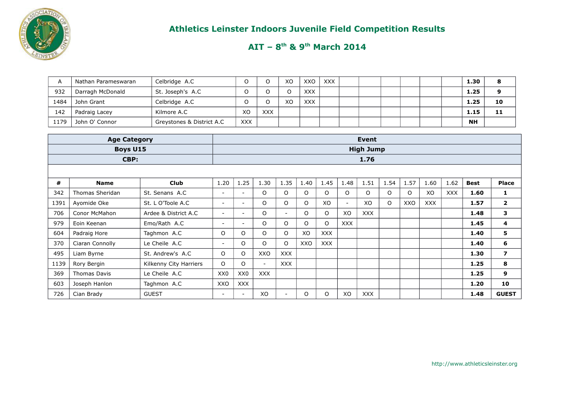

|      | . Nathan Parameswaran | Celbridge A.C             |            |            | XO | XXO        | XXX |  |  |  | 1.30      | o  |
|------|-----------------------|---------------------------|------------|------------|----|------------|-----|--|--|--|-----------|----|
| 932  | Darragh McDonald      | St. Joseph's A.C.         |            |            |    | <b>XXX</b> |     |  |  |  | 1.25      |    |
| 1484 | John Grant            | Celbridge A.C             |            |            | XO | <b>XXX</b> |     |  |  |  | 1.25      | 10 |
| 142  | Padraig Lacey         | Kilmore A.C               | XC         | <b>XXX</b> |    |            |     |  |  |  | 1.15      | 11 |
| 1179 | John O' Connor        | Greystones & District A.C | <b>XXX</b> |            |    |            |     |  |  |  | <b>NH</b> |    |

|      | <b>Age Category</b> |                        |                          |                          |            |            |         |            |            | <b>Event</b>     |         |      |            |            |             |                |
|------|---------------------|------------------------|--------------------------|--------------------------|------------|------------|---------|------------|------------|------------------|---------|------|------------|------------|-------------|----------------|
|      | <b>Boys U15</b>     |                        |                          |                          |            |            |         |            |            | <b>High Jump</b> |         |      |            |            |             |                |
|      | CBP:                |                        |                          |                          |            |            |         |            |            | 1.76             |         |      |            |            |             |                |
|      |                     |                        |                          |                          |            |            |         |            |            |                  |         |      |            |            |             |                |
| #    | <b>Name</b>         | <b>Club</b>            | 1.20                     | 1.25                     | 1.30       | 1.35       | 1.40    | 1.45       | 1.48       | 1.51             | 1.54    | 1.57 | 1.60       | 1.62       | <b>Best</b> | Place          |
| 342  | Thomas Sheridan     | St. Senans A.C.        | $\overline{\phantom{a}}$ | $\overline{\phantom{a}}$ | O          | $\Omega$   | O       | $\circ$    | O          | $\circ$          | $\circ$ | O    | XO         | <b>XXX</b> | 1.60        | 1              |
| 1391 | Ayomide Oke         | St. L O'Toole A.C      | $\overline{\phantom{a}}$ | ۰                        | 0          | $\circ$    | $\circ$ | XO         | $\sim$     | XO               | $\circ$ | XXO  | <b>XXX</b> |            | 1.57        | $\mathbf{2}$   |
| 706  | Conor McMahon       | Ardee & District A.C   | $\overline{\phantom{a}}$ | $\overline{\phantom{0}}$ | $\circ$    | $\sim$     | O       | $\circ$    | XO         | <b>XXX</b>       |         |      |            |            | 1.48        | 3              |
| 979  | Eoin Keenan         | Emo/Rath A.C           | $\overline{\phantom{a}}$ | $\overline{\phantom{a}}$ | $\circ$    | $\Omega$   | $\circ$ | $\Omega$   | <b>XXX</b> |                  |         |      |            |            | 1.45        | 4              |
| 604  | Padraig Hore        | Taghmon A.C            | O                        | $\Omega$                 | 0          | 0          | XO      | <b>XXX</b> |            |                  |         |      |            |            | 1.40        | 5              |
| 370  | Ciaran Connolly     | Le Cheile A.C          | $\overline{\phantom{a}}$ | $\circ$                  | O          | 0          | XXO     | <b>XXX</b> |            |                  |         |      |            |            | 1.40        | 6              |
| 495  | Liam Byrne          | St. Andrew's A.C       | $\circ$                  | $\Omega$                 | XXO        | <b>XXX</b> |         |            |            |                  |         |      |            |            | 1.30        | $\overline{ }$ |
| 1139 | Rory Bergin         | Kilkenny City Harriers | $\circ$                  | $\circ$                  | $\sim$     | <b>XXX</b> |         |            |            |                  |         |      |            |            | 1.25        | 8              |
| 369  | Thomas Davis        | Le Cheile A.C          | XX0                      | XX <sub>0</sub>          | <b>XXX</b> |            |         |            |            |                  |         |      |            |            | 1.25        | 9              |
| 603  | Joseph Hanlon       | Taghmon A.C            | XXO                      | <b>XXX</b>               |            |            |         |            |            |                  |         |      |            |            | 1.20        | 10             |
| 726  | Cian Brady          | <b>GUEST</b>           | $\overline{\phantom{a}}$ | $\overline{\phantom{0}}$ | XO         | $\sim$     | $\circ$ | $\circ$    | XO         | <b>XXX</b>       |         |      |            |            | 1.48        | <b>GUEST</b>   |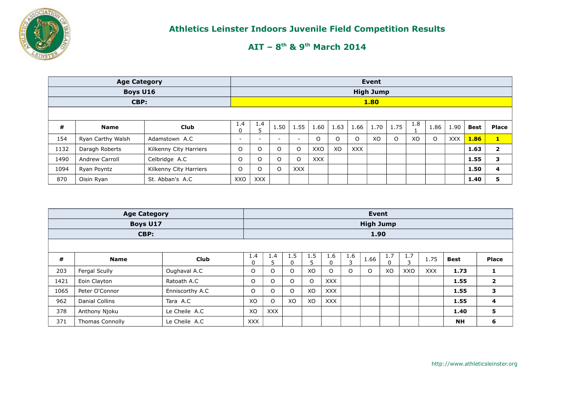

|      | <b>Age Category</b>                   |                        |                                                                                                                         |                          |          |                          |     |    |            | Event            |         |              |         |            |      |                |
|------|---------------------------------------|------------------------|-------------------------------------------------------------------------------------------------------------------------|--------------------------|----------|--------------------------|-----|----|------------|------------------|---------|--------------|---------|------------|------|----------------|
|      | <b>Boys U16</b>                       |                        |                                                                                                                         |                          |          |                          |     |    |            | <b>High Jump</b> |         |              |         |            |      |                |
|      | CBP:                                  |                        |                                                                                                                         |                          |          |                          |     |    |            | 1.80             |         |              |         |            |      |                |
|      |                                       |                        |                                                                                                                         |                          |          |                          |     |    |            |                  |         |              |         |            |      |                |
| #    | <b>Name</b>                           | <b>Club</b>            | 1.8<br>$1.4^{\circ}$<br>1.4<br>1.75<br>1.55<br>1.70<br>1.50<br>1.60<br>1.66<br>1.86<br>1.63<br>1.90<br><b>Best</b><br>0 |                          |          |                          |     |    |            |                  |         | <b>Place</b> |         |            |      |                |
| 154  | Ryan Carthy Walsh                     | Adamstown A.C          | -                                                                                                                       | $\overline{\phantom{0}}$ | -        | $\overline{\phantom{0}}$ | O   | O  | O          | XO               | $\circ$ | XO           | $\circ$ | <b>XXX</b> | 1.86 | $\mathbf{1}$   |
| 1132 | Daragh Roberts                        | Kilkenny City Harriers | O                                                                                                                       | O                        | O        | $\circ$                  | XXO | XO | <b>XXX</b> |                  |         |              |         |            | 1.63 | $\overline{2}$ |
| 1490 | <b>Andrew Carroll</b>                 | Celbridge A.C          | 0                                                                                                                       | $\circ$                  | $\Omega$ | $\circ$                  | XXX |    |            |                  |         |              |         |            | 1.55 | 3              |
| 1094 | Kilkenny City Harriers<br>Ryan Poyntz |                        |                                                                                                                         |                          | $\circ$  | <b>XXX</b>               |     |    |            |                  |         |              |         |            | 1.50 | 4              |
| 870  | Oisin Ryan                            | St. Abban's A.C        | XXO                                                                                                                     | <b>XXX</b>               |          |                          |     |    |            |                  |         |              |         |            | 1.40 | 5              |

|      | <b>Age Category</b>            |                 |            |                    |          |          |            |          | <b>Event</b>     |     |          |            |             |                |
|------|--------------------------------|-----------------|------------|--------------------|----------|----------|------------|----------|------------------|-----|----------|------------|-------------|----------------|
|      | <b>Boys U17</b>                |                 |            |                    |          |          |            |          | <b>High Jump</b> |     |          |            |             |                |
|      | CBP:                           |                 |            |                    |          |          |            |          | 1.90             |     |          |            |             |                |
|      |                                |                 |            |                    |          |          |            |          |                  |     |          |            |             |                |
| #    | <b>Name</b>                    | <b>Club</b>     | 1.4<br>0   | $1.4^{\circ}$<br>5 | 1.5<br>0 | 1.5<br>5 | 1.6        | 1.6<br>3 | 1.66             | 1.7 | 1.7<br>3 | 1.75       | <b>Best</b> | <b>Place</b>   |
| 203  | Fergal Scully                  | Oughaval A.C    | O          | O                  | O        | XO       | $\Omega$   | $\circ$  | O                | XO  | XXO      | <b>XXX</b> | 1.73        | 1              |
| 1421 | Eoin Clayton                   | Ratoath A.C     | $\Omega$   | $\Omega$           | $\Omega$ | $\circ$  | XXX        |          |                  |     |          |            | 1.55        | $\overline{2}$ |
| 1065 | Peter O'Connor                 | Enniscorthy A.C | $\circ$    | O                  | O        | XO       | <b>XXX</b> |          |                  |     |          |            | 1.55        | 3              |
| 962  | <b>Danial Collins</b>          | Tara A.C        | XO         | O                  | XO       | XO       | <b>XXX</b> |          |                  |     |          |            | 1.55        | 4              |
| 378  | Anthony Njoku<br>Le Cheile A.C |                 |            |                    |          |          |            |          |                  |     |          |            | 1.40        | 5              |
| 371  | <b>Thomas Connolly</b>         | Le Cheile A.C   | <b>XXX</b> |                    |          |          |            |          |                  |     |          |            | <b>NH</b>   | 6              |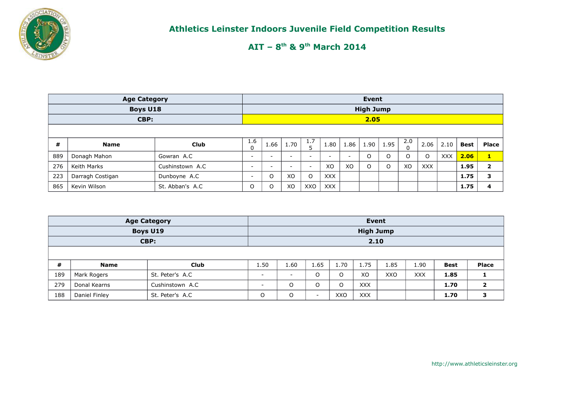

|     | <b>Age Category</b> |                  |                                                                                             |                          |                          |                          |                          |                          | Event            |          |             |              |            |      |                |
|-----|---------------------|------------------|---------------------------------------------------------------------------------------------|--------------------------|--------------------------|--------------------------|--------------------------|--------------------------|------------------|----------|-------------|--------------|------------|------|----------------|
|     | <b>Boys U18</b>     |                  |                                                                                             |                          |                          |                          |                          |                          | <b>High Jump</b> |          |             |              |            |      |                |
|     | CBP:                |                  |                                                                                             |                          |                          |                          |                          |                          | 2.05             |          |             |              |            |      |                |
|     |                     |                  |                                                                                             |                          |                          |                          |                          |                          |                  |          |             |              |            |      |                |
| #   | <b>Name</b>         | Club             | 1.6<br>1.7<br>2.0<br>1.70<br>1.95<br>1.66<br>1.90<br>1.80<br>1.86<br>2.06<br>2.10<br>n<br>0 |                          |                          |                          |                          |                          |                  |          | <b>Best</b> | <b>Place</b> |            |      |                |
| 889 | Donagh Mahon        | Gowran A.C       | -                                                                                           | $\overline{\phantom{a}}$ |                          | $\overline{\phantom{a}}$ | $\overline{\phantom{0}}$ | $\overline{\phantom{a}}$ | $\circ$          | $\Omega$ | O           | $\circ$      | <b>XXX</b> | 2.06 | $\mathbf{1}$   |
| 276 | Keith Marks         | Cushinstown A.C  | $\overline{\phantom{0}}$                                                                    | $\overline{\phantom{0}}$ | $\overline{\phantom{0}}$ | $\overline{\phantom{a}}$ | XO                       | XO                       | O                | $\Omega$ | XO          | <b>XXX</b>   |            | 1.95 | $\overline{2}$ |
| 223 | Darragh Costigan    | Dunboyne A.C     | $\overline{\phantom{a}}$                                                                    | $\circ$                  | XO                       | O                        | <b>XXX</b>               |                          |                  |          |             |              |            | 1.75 | 3              |
| 865 | Kevin Wilson        | St. Abban's A.C. | $\Omega$                                                                                    | $\circ$                  | XO                       | XXO                      | <b>XXX</b>               |                          |                  |          |             |              |            | 1.75 | 4              |

|     |               | <b>Age Category</b> |      |                          |                          |      | Event            |      |            |             |              |
|-----|---------------|---------------------|------|--------------------------|--------------------------|------|------------------|------|------------|-------------|--------------|
|     |               | Boys U19            |      |                          |                          |      | <b>High Jump</b> |      |            |             |              |
|     |               | CBP:                |      |                          |                          |      | 2.10             |      |            |             |              |
|     |               |                     |      |                          |                          |      |                  |      |            |             |              |
| #   | <b>Name</b>   | <b>Club</b>         | 1.50 | 1.60                     | 1.65                     | 1.70 | 1.75             | 1.85 | 1.90       | <b>Best</b> | <b>Place</b> |
| 189 | Mark Rogers   | St. Peter's A.C     | -    | $\overline{\phantom{a}}$ | O                        |      | XO               | XXO  | <b>XXX</b> | 1.85        |              |
| 279 | Donal Kearns  | Cushinstown A.C     |      | O                        | O                        | O    | <b>XXX</b>       |      |            | 1.70        |              |
| 188 | Daniel Finley | St. Peter's A.C     | O    | O                        | $\overline{\phantom{0}}$ | XXO  | <b>XXX</b>       |      |            | 1.70        |              |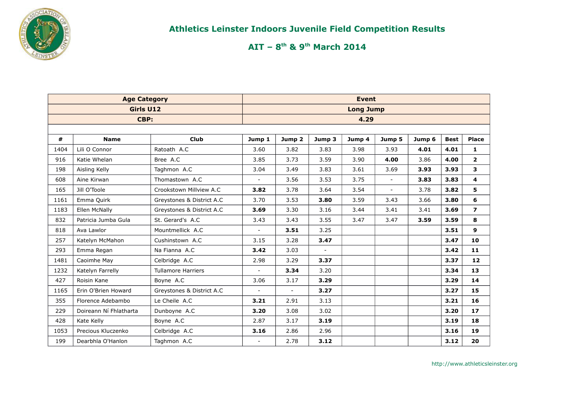

|      | <b>Age Category</b>    |                           |                          |                          | <b>Event</b>   |                  |                          |        |             |                |
|------|------------------------|---------------------------|--------------------------|--------------------------|----------------|------------------|--------------------------|--------|-------------|----------------|
|      | Girls U12              |                           |                          |                          |                | <b>Long Jump</b> |                          |        |             |                |
|      | CBP:                   |                           |                          |                          |                | 4.29             |                          |        |             |                |
|      |                        |                           |                          |                          |                |                  |                          |        |             |                |
| #    | <b>Name</b>            | <b>Club</b>               | Jump 1                   | Jump 2                   | Jump 3         | Jump 4           | Jump 5                   | Jump 6 | <b>Best</b> | <b>Place</b>   |
| 1404 | Lili O Connor          | Ratoath A.C               | 3.60                     | 3.82                     | 3.83           | 3.98             | 3.93                     | 4.01   | 4.01        | 1              |
| 916  | Katie Whelan           | Bree A.C                  | 3.85                     | 3.73                     | 3.59           | 3.90             | 4.00                     | 3.86   | 4.00        | $\mathbf{2}$   |
| 198  | Aisling Kelly          | Taghmon A.C               | 3.04                     | 3.49                     | 3.83           | 3.61             | 3.69                     | 3.93   | 3.93        | 3              |
| 608  | Aine Kirwan            | Thomastown A.C            | $\blacksquare$           | 3.56                     | 3.53           | 3.75             | $\overline{\phantom{a}}$ | 3.83   | 3.83        | 4              |
| 165  | Jill O'Toole           | Crookstown Millview A.C   | 3.82                     | 3.78                     | 3.64           | 3.54             | $\overline{\phantom{a}}$ | 3.78   | 3.82        | 5              |
| 1161 | Emma Quirk             | Greystones & District A.C | 3.70                     | 3.53                     | 3.80           | 3.59             | 3.43                     | 3.66   | 3.80        | 6              |
| 1183 | Ellen McNally          | Greystones & District A.C | 3.69                     | 3.30                     | 3.16           | 3.44             | 3.41                     | 3.41   | 3.69        | $\overline{z}$ |
| 832  | Patricia Jumba Gula    | St. Gerard's A.C          | 3.43                     | 3.43                     | 3.55           | 3.47             | 3.47                     | 3.59   | 3.59        | 8              |
| 818  | Ava Lawlor             | Mountmellick A.C          | $\blacksquare$           | 3.51                     | 3.25           |                  |                          |        | 3.51        | $\mathbf{9}$   |
| 257  | Katelyn McMahon        | Cushinstown A.C           | 3.15                     | 3.28                     | 3.47           |                  |                          |        | 3.47        | 10             |
| 293  | Emma Regan             | Na Fianna A.C             | 3.42                     | 3.03                     | $\blacksquare$ |                  |                          |        | 3.42        | 11             |
| 1481 | Caoimhe May            | Celbridge A.C             | 2.98                     | 3.29                     | 3.37           |                  |                          |        | 3.37        | 12             |
| 1232 | Katelyn Farrelly       | <b>Tullamore Harriers</b> | $\blacksquare$           | 3.34                     | 3.20           |                  |                          |        | 3.34        | 13             |
| 427  | Roisin Kane            | Boyne A.C                 | 3.06                     | 3.17                     | 3.29           |                  |                          |        | 3.29        | 14             |
| 1165 | Erin O'Brien Howard    | Greystones & District A.C | $\overline{\phantom{a}}$ | $\overline{\phantom{a}}$ | 3.27           |                  |                          |        | 3.27        | 15             |
| 355  | Florence Adebambo      | Le Cheile A.C             | 3.21                     | 2.91                     | 3.13           |                  |                          |        | 3.21        | 16             |
| 229  | Doireann Ní Fhlatharta | Dunboyne A.C              | 3.20                     | 3.08                     | 3.02           |                  |                          |        | 3.20        | 17             |
| 428  | Kate Kelly             | Boyne A.C                 | 2.87                     | 3.17                     | 3.19           |                  |                          |        | 3.19        | 18             |
| 1053 | Precious Kluczenko     | Celbridge A.C             | 3.16                     | 2.86                     | 2.96           |                  |                          |        | 3.16        | 19             |
| 199  | Dearbhla O'Hanlon      | Taghmon A.C               | $\blacksquare$           | 2.78                     | 3.12           |                  |                          |        | 3.12        | 20             |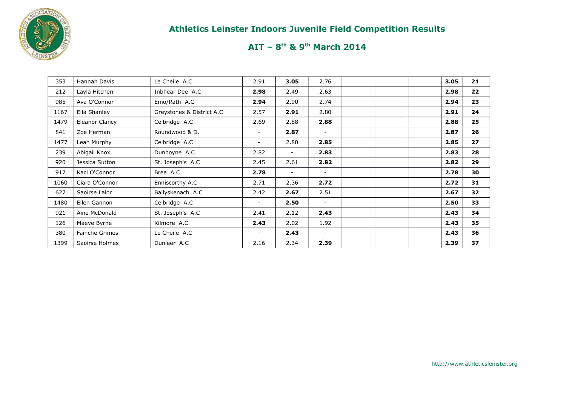

| 353  | Hannah Davis   | Le Cheile A.C             | 2.91                     | 3.05                     | 2.76           |  | 3.05 | 21 |
|------|----------------|---------------------------|--------------------------|--------------------------|----------------|--|------|----|
| 212  | Layla Hitchen  | Inbhear Dee A.C           | 2.98                     | 2.49                     | 2.63           |  | 2.98 | 22 |
| 985  | Ava O'Connor   | Emo/Rath A.C              | 2.94                     | 2.90                     | 2.74           |  | 2.94 | 23 |
| 1167 | Ella Shanley   | Greystones & District A.C | 2.57                     | 2.91                     | 2.80           |  | 2.91 | 24 |
| 1479 | Eleanor Clancy | Celbridge A.C             | 2.69                     | 2.88                     | 2.88           |  | 2.88 | 25 |
| 841  | Zoe Herman     | Roundwood & D.            | $\overline{\phantom{a}}$ | 2.87                     | $\sim$         |  | 2.87 | 26 |
| 1477 | Leah Murphy    | Celbridge A.C             | $\overline{\phantom{a}}$ | 2.80                     | 2.85           |  | 2.85 | 27 |
| 239  | Abigail Knox   | Dunboyne A.C              | 2.82                     | $\overline{\phantom{0}}$ | 2.83           |  | 2.83 | 28 |
| 920  | Jessica Sutton | St. Joseph's A.C          | 2.45                     | 2.61                     | 2.82           |  | 2.82 | 29 |
| 917  | Kaci O'Connor  | Bree A.C                  | 2.78                     | $\sim$                   |                |  | 2.78 | 30 |
| 1060 | Ciara O'Connor | Enniscorthy A.C           | 2.71                     | 2.36                     | 2.72           |  | 2.72 | 31 |
| 627  | Saoirse Lalor  | Ballyskenach A.C          | 2.42                     | 2.67                     | 2.51           |  | 2.67 | 32 |
| 1480 | Ellen Gannon   | Celbridge A.C             |                          | 2.50                     |                |  | 2.50 | 33 |
| 921  | Aine McDonald  | St. Joseph's A.C          | 2.41                     | 2.12                     | 2.43           |  | 2.43 | 34 |
| 126  | Maeve Byrne    | Kilmore A.C               | 2.43                     | 2.02                     | 1.92           |  | 2.43 | 35 |
| 380  | Fainche Grimes | Le Cheile A.C             | $\blacksquare$           | 2.43                     | $\blacksquare$ |  | 2.43 | 36 |
| 1399 | Saoirse Holmes | Dunleer A.C               | 2.16                     | 2.34                     | 2.39           |  | 2.39 | 37 |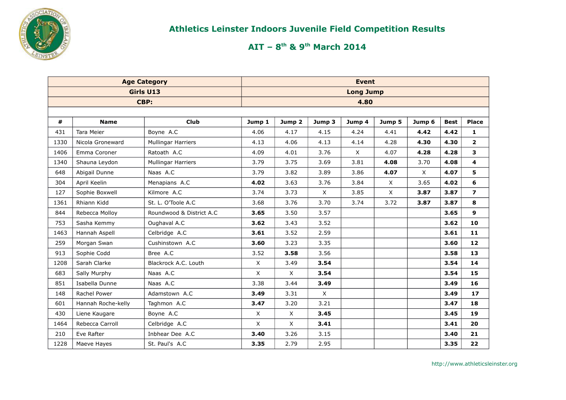

|      | <b>Age Category</b> |                           |             |                   | <b>Event</b> |                  |              |          |             |                         |
|------|---------------------|---------------------------|-------------|-------------------|--------------|------------------|--------------|----------|-------------|-------------------------|
|      |                     | Girls U13                 |             |                   |              | <b>Long Jump</b> |              |          |             |                         |
|      |                     | CBP:                      |             |                   |              | 4.80             |              |          |             |                         |
|      |                     |                           |             |                   |              |                  |              |          |             |                         |
| #    | <b>Name</b>         | <b>Club</b>               | Jump 1      | Jump <sub>2</sub> | Jump 3       | Jump 4           | Jump 5       | Jump 6   | <b>Best</b> | <b>Place</b>            |
| 431  | <b>Tara Meier</b>   | Boyne A.C                 | 4.06        | 4.17              | 4.15         | 4.24             | 4.41         | 4.42     | 4.42        | 1                       |
| 1330 | Nicola Groneward    | <b>Mullingar Harriers</b> | 4.13        | 4.06              | 4.13         | 4.14             | 4.28         | 4.30     | 4.30        | $\mathbf{2}$            |
| 1406 | Emma Coroner        | Ratoath A.C               | 4.09        | 4.01              | 3.76         | $\mathsf{X}$     | 4.07         | 4.28     | 4.28        | 3                       |
| 1340 | Shauna Leydon       | <b>Mullingar Harriers</b> | 3.79        | 3.75              | 3.69         | 3.81             | 4.08         | 3.70     | 4.08        | 4                       |
| 648  | Abigail Dunne       | Naas A.C                  | 3.79        | 3.82              | 3.89         | 3.86             | 4.07         | $\times$ | 4.07        | 5                       |
| 304  | April Keelin        | Menapians A.C             | 4.02        | 3.63              | 3.76         | 3.84             | $\mathsf{X}$ | 3.65     | 4.02        | 6                       |
| 127  | Sophie Boxwell      | Kilmore A.C               | 3.74        | 3.73              | $\times$     | 3.85             | $\mathsf{X}$ | 3.87     | 3.87        | $\overline{\mathbf{z}}$ |
| 1361 | Rhiann Kidd         | St. L. O'Toole A.C        | 3.68        | 3.76              | 3.70         | 3.74             | 3.72         | 3.87     | 3.87        | 8                       |
| 844  | Rebecca Molloy      | Roundwood & District A.C. | 3.65        | 3.50              | 3.57         |                  |              |          | 3.65        | 9                       |
| 753  | Sasha Kemmy         | Oughaval A.C              | 3.62        | 3.43              | 3.52         |                  |              |          | 3.62        | 10                      |
| 1463 | Hannah Aspell       | Celbridge A.C             | 3.61        | 3.52              | 2.59         |                  |              |          | 3.61        | 11                      |
| 259  | Morgan Swan         | Cushinstown A.C           | 3.60        | 3.23              | 3.35         |                  |              |          | 3.60        | 12                      |
| 913  | Sophie Codd         | Bree A.C                  | 3.52        | 3.58              | 3.56         |                  |              |          | 3.58        | 13                      |
| 1208 | Sarah Clarke        | Blackrock A.C. Louth      | X           | 3.49              | 3.54         |                  |              |          | 3.54        | 14                      |
| 683  | Sally Murphy        | Naas A.C                  | $\mathsf X$ | X                 | 3.54         |                  |              |          | 3.54        | 15                      |
| 851  | Isabella Dunne      | Naas A.C                  | 3.38        | 3.44              | 3.49         |                  |              |          | 3.49        | 16                      |
| 148  | Rachel Power        | Adamstown A.C             | 3.49        | 3.31              | $\mathsf{X}$ |                  |              |          | 3.49        | 17                      |
| 601  | Hannah Roche-kelly  | Taghmon A.C               | 3.47        | 3.20              | 3.21         |                  |              |          | 3.47        | 18                      |
| 430  | Liene Kaugare       | Boyne A.C                 | X           | $\times$          | 3.45         |                  |              |          | 3.45        | 19                      |
| 1464 | Rebecca Carroll     | Celbridge A.C             | $\times$    | $\mathsf{X}$      | 3.41         |                  |              |          | 3.41        | 20                      |
| 210  | Eve Rafter          | Inbhear Dee A.C           | 3.40        | 3.26              | 3.15         |                  |              |          | 3.40        | 21                      |
| 1228 | Maeve Hayes         | St. Paul's A.C            | 3.35        | 2.79              | 2.95         |                  |              |          | 3.35        | 22                      |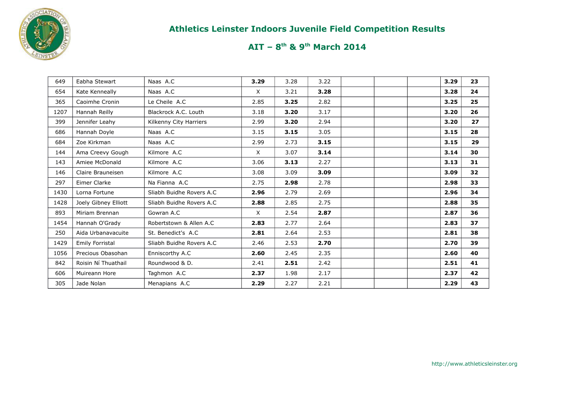

| 649  | Eabha Stewart        | Naas A.C                  | 3.29     | 3.28 | 3.22 |  | 3.29 | 23 |
|------|----------------------|---------------------------|----------|------|------|--|------|----|
| 654  | Kate Kenneally       | Naas A.C                  | $\times$ | 3.21 | 3.28 |  | 3.28 | 24 |
| 365  | Caoimhe Cronin       | Le Cheile A.C             | 2.85     | 3.25 | 2.82 |  | 3.25 | 25 |
| 1207 | Hannah Reilly        | Blackrock A.C. Louth      | 3.18     | 3.20 | 3.17 |  | 3.20 | 26 |
| 399  | Jennifer Leahv       | Kilkenny City Harriers    | 2.99     | 3.20 | 2.94 |  | 3.20 | 27 |
| 686  | Hannah Doyle         | Naas A.C                  | 3.15     | 3.15 | 3.05 |  | 3.15 | 28 |
| 684  | Zoe Kirkman          | Naas A.C                  | 2.99     | 2.73 | 3.15 |  | 3.15 | 29 |
| 144  | Ama Creevy Gough     | Kilmore A.C               | X        | 3.07 | 3.14 |  | 3.14 | 30 |
| 143  | Amiee McDonald       | Kilmore A.C               | 3.06     | 3.13 | 2.27 |  | 3.13 | 31 |
| 146  | Claire Brauneisen    | Kilmore A.C               | 3.08     | 3.09 | 3.09 |  | 3.09 | 32 |
| 297  | Eimer Clarke         | Na Fianna A.C             | 2.75     | 2.98 | 2.78 |  | 2.98 | 33 |
| 1430 | Lorna Fortune        | Sliabh Buidhe Rovers A.C. | 2.96     | 2.79 | 2.69 |  | 2.96 | 34 |
| 1428 | Joely Gibney Elliott | Sliabh Buidhe Rovers A.C  | 2.88     | 2.85 | 2.75 |  | 2.88 | 35 |
| 893  | Miriam Brennan       | Gowran A.C                | X        | 2.54 | 2.87 |  | 2.87 | 36 |
| 1454 | Hannah O'Grady       | Robertstown & Allen A.C   | 2.83     | 2.77 | 2.64 |  | 2.83 | 37 |
| 250  | Aida Urbanavacuite   | St. Benedict's A.C.       | 2.81     | 2.64 | 2.53 |  | 2.81 | 38 |
| 1429 | Emily Forristal      | Sliabh Buidhe Rovers A.C. | 2.46     | 2.53 | 2.70 |  | 2.70 | 39 |
| 1056 | Precious Obasohan    | Enniscorthy A.C           | 2.60     | 2.45 | 2.35 |  | 2.60 | 40 |
| 842  | Roisin Ní Thuathail  | Roundwood & D.            | 2.41     | 2.51 | 2.42 |  | 2.51 | 41 |
| 606  | Muireann Hore        | Taghmon A.C               | 2.37     | 1.98 | 2.17 |  | 2.37 | 42 |
| 305  | Jade Nolan           | Menapians A.C             | 2.29     | 2.27 | 2.21 |  | 2.29 | 43 |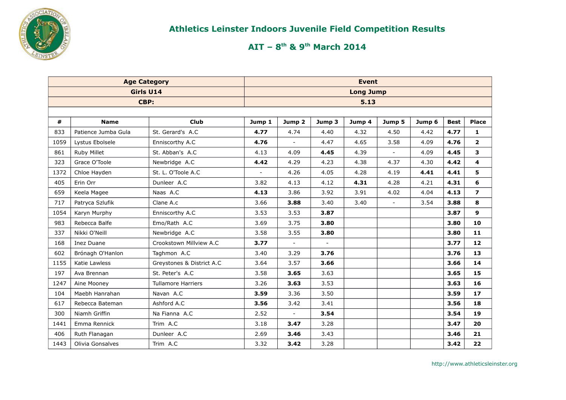

|      | <b>Age Category</b> |                           |                          |                |                          | <b>Event</b>     |                          |        |             |                |
|------|---------------------|---------------------------|--------------------------|----------------|--------------------------|------------------|--------------------------|--------|-------------|----------------|
|      | Girls U14           |                           |                          |                |                          | <b>Long Jump</b> |                          |        |             |                |
|      | CBP:                |                           |                          |                |                          | 5.13             |                          |        |             |                |
|      |                     |                           |                          |                |                          |                  |                          |        |             |                |
| #    | <b>Name</b>         | <b>Club</b>               | Jump 1                   | Jump 2         | Jump 3                   | Jump 4           | Jump 5                   | Jump 6 | <b>Best</b> | <b>Place</b>   |
| 833  | Patience Jumba Gula | St. Gerard's A.C          | 4.77                     | 4.74           | 4.40                     | 4.32             | 4.50                     | 4.42   | 4.77        | 1              |
| 1059 | Lystus Ebolsele     | Enniscorthy A.C           | 4.76                     |                | 4.47                     | 4.65             | 3.58                     | 4.09   | 4.76        | $\overline{2}$ |
| 861  | Ruby Millet         | St. Abban's A.C           | 4.13                     | 4.09           | 4.45                     | 4.39             |                          | 4.09   | 4.45        | 3              |
| 323  | Grace O'Toole       | Newbridge A.C             | 4.42                     | 4.29           | 4.23                     | 4.38             | 4.37                     | 4.30   | 4.42        | 4              |
| 1372 | Chloe Hayden        | St. L. O'Toole A.C        | $\overline{\phantom{a}}$ | 4.26           | 4.05                     | 4.28             | 4.19                     | 4.41   | 4.41        | 5              |
| 405  | Erin Orr            | Dunleer A.C               | 3.82                     | 4.13           | 4.12                     | 4.31             | 4.28                     | 4.21   | 4.31        | 6              |
| 659  | Keela Magee         | Naas A.C                  | 4.13                     | 3.86           | 3.92                     | 3.91             | 4.02                     | 4.04   | 4.13        | $\overline{ }$ |
| 717  | Patryca Szlufik     | Clane A.c                 | 3.66                     | 3.88           | 3.40                     | 3.40             | $\overline{\phantom{a}}$ | 3.54   | 3.88        | 8              |
| 1054 | Karyn Murphy        | Enniscorthy A.C           | 3.53                     | 3.53           | 3.87                     |                  |                          |        | 3.87        | 9              |
| 983  | Rebecca Balfe       | Emo/Rath A.C              | 3.69                     | 3.75           | 3.80                     |                  |                          |        | 3.80        | 10             |
| 337  | Nikki O'Neill       | Newbridge A.C             | 3.58                     | 3.55           | 3.80                     |                  |                          |        | 3.80        | 11             |
| 168  | <b>Inez Duane</b>   | Crookstown Millview A.C   | 3.77                     | $\mathbf{L}$   | $\overline{\phantom{a}}$ |                  |                          |        | 3.77        | 12             |
| 602  | Brónagh O'Hanlon    | Taghmon A.C               | 3.40                     | 3.29           | 3.76                     |                  |                          |        | 3.76        | 13             |
| 1155 | Katie Lawless       | Greystones & District A.C | 3.64                     | 3.57           | 3.66                     |                  |                          |        | 3.66        | 14             |
| 197  | Ava Brennan         | St. Peter's A.C           | 3.58                     | 3.65           | 3.63                     |                  |                          |        | 3.65        | 15             |
| 1247 | Aine Mooney         | <b>Tullamore Harriers</b> | 3.26                     | 3.63           | 3.53                     |                  |                          |        | 3.63        | 16             |
| 104  | Maebh Hanrahan      | Navan A.C                 | 3.59                     | 3.36           | 3.50                     |                  |                          |        | 3.59        | 17             |
| 617  | Rebecca Bateman     | Ashford A.C               | 3.56                     | 3.42           | 3.41                     |                  |                          |        | 3.56        | 18             |
| 300  | Niamh Griffin       | Na Fianna A.C             | 2.52                     | $\blacksquare$ | 3.54                     |                  |                          |        | 3.54        | 19             |
| 1441 | Emma Rennick        | Trim A.C                  | 3.18                     | 3.47           | 3.28                     |                  |                          |        | 3.47        | 20             |
| 406  | Ruth Flanagan       | Dunleer A.C               | 2.69                     | 3.46           | 3.43                     |                  |                          |        | 3.46        | 21             |
| 1443 | Olivia Gonsalves    | Trim A.C                  | 3.32                     | 3.42           | 3.28                     |                  |                          |        | 3.42        | 22             |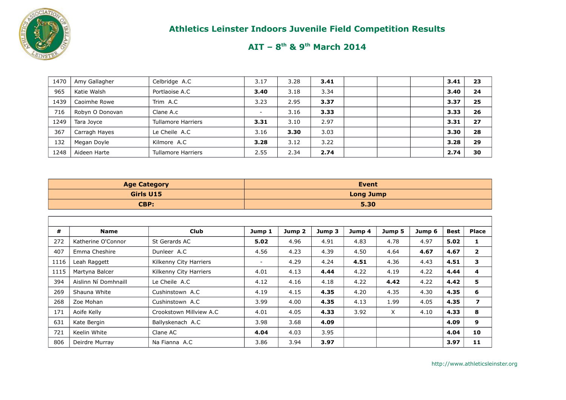

| 1470 | Amy Gallagher   | Celbridge A.C             | 3.17   | 3.28 | 3.41 |  | 3.41 | 23 |
|------|-----------------|---------------------------|--------|------|------|--|------|----|
| 965  | Katie Walsh     | Portlaoise A.C            | 3.40   | 3.18 | 3.34 |  | 3.40 | 24 |
| 1439 | Caoimhe Rowe    | Trim A.C                  | 3.23   | 2.95 | 3.37 |  | 3.37 | 25 |
| 716  | Robyn O Donovan | Clane A.c                 | $\sim$ | 3.16 | 3.33 |  | 3.33 | 26 |
| 1249 | Tara Joyce      | <b>Tullamore Harriers</b> | 3.31   | 3.10 | 2.97 |  | 3.31 | 27 |
| 367  | Carragh Hayes   | Le Cheile A.C             | 3.16   | 3.30 | 3.03 |  | 3.30 | 28 |
| 132  | Megan Doyle     | Kilmore A.C               | 3.28   | 3.12 | 3.22 |  | 3.28 | 29 |
| 1248 | Aideen Harte    | <b>Tullamore Harriers</b> | 2.55   | 2.34 | 2.74 |  | 2.74 | 30 |

| <b>Age Category</b> | <b>Event</b>     |
|---------------------|------------------|
| Girls U15           | <b>Long Jump</b> |
| CBP:                | 5.30             |

| #    | <b>Name</b>          | <b>Club</b>              | Jump 1 | Jump <sub>2</sub> | Jump 3 | Jump 4 | Jump 5 | Jump 6 | <b>Best</b> | <b>Place</b>             |
|------|----------------------|--------------------------|--------|-------------------|--------|--------|--------|--------|-------------|--------------------------|
| 272  | Katherine O'Connor   | St Gerards AC            | 5.02   | 4.96              | 4.91   | 4.83   | 4.78   | 4.97   | 5.02        | 1                        |
| 407  | Emma Cheshire        | Dunleer A.C              | 4.56   | 4.23              | 4.39   | 4.50   | 4.64   | 4.67   | 4.67        | $\mathbf{2}$             |
| 1116 | Leah Raggett         | Kilkenny City Harriers   | Ξ.     | 4.29              | 4.24   | 4.51   | 4.36   | 4.43   | 4.51        | 3                        |
| 1115 | Martyna Balcer       | Kilkenny City Harriers   | 4.01   | 4.13              | 4.44   | 4.22   | 4.19   | 4.22   | 4.44        | 4                        |
| 394  | Aislinn Ní Domhnaill | Le Cheile A.C            | 4.12   | 4.16              | 4.18   | 4.22   | 4.42   | 4.22   | 4.42        | 5                        |
| 269  | Shauna White         | Cushinstown A.C          | 4.19   | 4.15              | 4.35   | 4.20   | 4.35   | 4.30   | 4.35        | 6                        |
| 268  | Zoe Mohan            | Cushinstown A.C          | 3.99   | 4.00              | 4.35   | 4.13   | 1.99   | 4.05   | 4.35        | $\overline{\phantom{a}}$ |
| 171  | Aoife Kelly          | Crookstown Millview A.C. | 4.01   | 4.05              | 4.33   | 3.92   | X      | 4.10   | 4.33        | 8                        |
| 631  | Kate Bergin          | Ballyskenach A.C         | 3.98   | 3.68              | 4.09   |        |        |        | 4.09        | 9                        |
| 721  | Keelin White         | Clane AC                 | 4.04   | 4.03              | 3.95   |        |        |        | 4.04        | 10                       |
| 806  | Deirdre Murray       | Na Fianna A.C            | 3.86   | 3.94              | 3.97   |        |        |        | 3.97        | 11                       |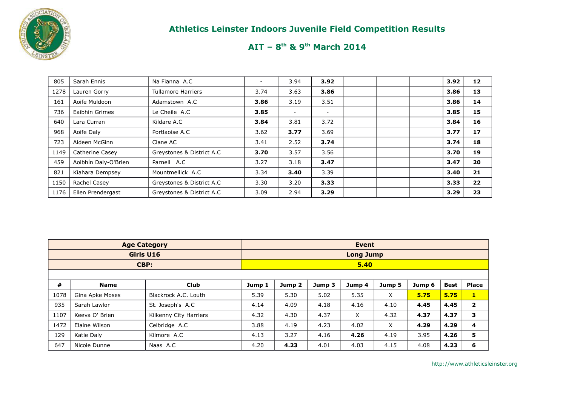

# **AIT – 8th & 9th March 2014**

| 805  | Sarah Ennis          | Na Fianna A.C             |      | 3.94                     | 3.92                     |  | 3.92 | 12 |
|------|----------------------|---------------------------|------|--------------------------|--------------------------|--|------|----|
| 1278 | Lauren Gorry         | <b>Tullamore Harriers</b> | 3.74 | 3.63                     | 3.86                     |  | 3.86 | 13 |
| 161  | Aoife Muldoon        | Adamstown A.C             | 3.86 | 3.19                     | 3.51                     |  | 3.86 | 14 |
| 736  | Eaibhin Grimes       | Le Cheile A.C             | 3.85 | $\overline{\phantom{a}}$ | $\overline{\phantom{a}}$ |  | 3.85 | 15 |
| 640  | Lara Curran          | Kildare A.C               | 3.84 | 3.81                     | 3.72                     |  | 3.84 | 16 |
| 968  | Aoife Daly           | Portlaoise A.C            | 3.62 | 3.77                     | 3.69                     |  | 3.77 | 17 |
| 723  | Aideen McGinn        | Clane AC                  | 3.41 | 2.52                     | 3.74                     |  | 3.74 | 18 |
| 1149 | Catherine Casey      | Greystones & District A.C | 3.70 | 3.57                     | 3.56                     |  | 3.70 | 19 |
| 459  | Aoibhín Daly-O'Brien | Parnell A.C               | 3.27 | 3.18                     | 3.47                     |  | 3.47 | 20 |
| 821  | Kiahara Dempsey      | Mountmellick A.C          | 3.34 | 3.40                     | 3.39                     |  | 3.40 | 21 |
| 1150 | Rachel Casey         | Greystones & District A.C | 3.30 | 3.20                     | 3.33                     |  | 3.33 | 22 |
| 1176 | Ellen Prendergast    | Greystones & District A.C | 3.09 | 2.94                     | 3.29                     |  | 3.29 | 23 |

|      |                 | <b>Age Category</b>    |        |                   |        | <b>Event</b>     |          |        |             |                         |
|------|-----------------|------------------------|--------|-------------------|--------|------------------|----------|--------|-------------|-------------------------|
|      |                 | Girls U16              |        |                   |        | <b>Long Jump</b> |          |        |             |                         |
|      |                 | CBP:                   |        |                   |        | 5.40             |          |        |             |                         |
|      |                 |                        |        |                   |        |                  |          |        |             |                         |
| #    | <b>Name</b>     | <b>Club</b>            | Jump 1 | Jump <sub>2</sub> | Jump 3 | Jump 4           | Jump 5   | Jump 6 | <b>Best</b> | <b>Place</b>            |
| 1078 | Gina Apke Moses | Blackrock A.C. Louth   | 5.39   | 5.30              | 5.02   | 5.35             | $\times$ | 5.75   | 5.75        | $\mathbf{1}$            |
| 935  | Sarah Lawlor    | St. Joseph's A.C       | 4.14   | 4.09              | 4.18   | 4.16             | 4.10     | 4.45   | 4.45        | $\overline{2}$          |
| 1107 | Keeva O' Brien  | Kilkenny City Harriers | 4.32   | 4.30              | 4.37   | X                | 4.32     | 4.37   | 4.37        | 3                       |
| 1472 | Elaine Wilson   | Celbridge A.C          | 3.88   | 4.19              | 4.23   | 4.02             | $\times$ | 4.29   | 4.29        | $\overline{\mathbf{4}}$ |
| 129  | Katie Daly      | Kilmore A.C            | 4.13   | 3.27              | 4.16   | 4.26             | 4.19     | 3.95   | 4.26        | 5                       |
| 647  | Nicole Dunne    | Naas A.C               | 4.20   | 4.23              | 4.01   | 4.03             | 4.15     | 4.08   | 4.23        | 6                       |

http://www.athleticsleinster.org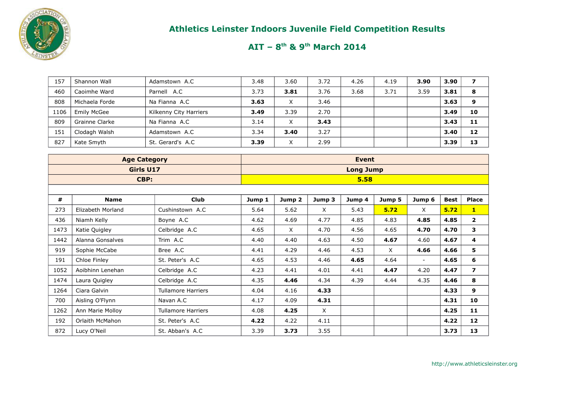

| 157  | Shannon Wall       | Adamstown A.C          | 3.48 | 3.60             | 3.72 | 4.26 | 4.19 | 3.90 | 3.90 |    |
|------|--------------------|------------------------|------|------------------|------|------|------|------|------|----|
| 460  | Caoimhe Ward       | Parnell A.C            | 3.73 | 3.81             | 3.76 | 3.68 | 3.71 | 3.59 | 3.81 | 8  |
| 808  | Michaela Forde     | Na Fianna A.C          | 3.63 | $\check{ }$<br>⋏ | 3.46 |      |      |      | 3.63 | 9  |
| 1106 | <b>Emily McGee</b> | Kilkenny City Harriers | 3.49 | 3.39             | 2.70 |      |      |      | 3.49 | 10 |
| 809  | Grainne Clarke     | Na Fianna A.C          | 3.14 | X                | 3.43 |      |      |      | 3.43 | 11 |
| 151  | Clodagh Walsh      | Adamstown A.C          | 3.34 | 3.40             | 3.27 |      |      |      | 3.40 | 12 |
| 827  | Kate Smyth         | St. Gerard's A.C       | 3.39 | $\check{ }$<br>⋏ | 2.99 |      |      |      | 3.39 | 13 |

|      | <b>Age Category</b> |                           |        |          |          | <b>Event</b>     |          |                          |             |                |
|------|---------------------|---------------------------|--------|----------|----------|------------------|----------|--------------------------|-------------|----------------|
|      | Girls U17           |                           |        |          |          | <b>Long Jump</b> |          |                          |             |                |
|      | CBP:                |                           |        |          |          | 5.58             |          |                          |             |                |
|      |                     |                           |        |          |          |                  |          |                          |             |                |
| #    | <b>Name</b>         | <b>Club</b>               | Jump 1 | Jump 2   | Jump 3   | Jump 4           | Jump 5   | Jump 6                   | <b>Best</b> | <b>Place</b>   |
| 273  | Elizabeth Morland   | Cushinstown A.C           | 5.64   | 5.62     | $\times$ | 5.43             | 5.72     | X                        | 5.72        | $\mathbf{1}$   |
| 436  | Niamh Kelly         | Boyne A.C                 | 4.62   | 4.69     | 4.77     | 4.85             | 4.83     | 4.85                     | 4.85        | $\overline{2}$ |
| 1473 | Katie Quigley       | Celbridge A.C             | 4.65   | $\times$ | 4.70     | 4.56             | 4.65     | 4.70                     | 4.70        | 3              |
| 1442 | Alanna Gonsalves    | Trim A.C                  | 4.40   | 4.40     | 4.63     | 4.50             | 4.67     | 4.60                     | 4.67        | 4              |
| 919  | Sophie McCabe       | Bree A.C                  | 4.41   | 4.29     | 4.46     | 4.53             | $\times$ | 4.66                     | 4.66        | 5              |
| 191  | Chloe Finley        | St. Peter's A.C           | 4.65   | 4.53     | 4.46     | 4.65             | 4.64     | $\overline{\phantom{a}}$ | 4.65        | 6              |
| 1052 | Aoibhinn Lenehan    | Celbridge A.C             | 4.23   | 4.41     | 4.01     | 4.41             | 4.47     | 4.20                     | 4.47        | $\overline{ }$ |
| 1474 | Laura Quigley       | Celbridge A.C             | 4.35   | 4.46     | 4.34     | 4.39             | 4.44     | 4.35                     | 4.46        | 8              |
| 1264 | Ciara Galvin        | <b>Tullamore Harriers</b> | 4.04   | 4.16     | 4.33     |                  |          |                          | 4.33        | 9              |
| 700  | Aisling O'Flynn     | Navan A.C                 | 4.17   | 4.09     | 4.31     |                  |          |                          | 4.31        | 10             |
| 1262 | Ann Marie Molloy    | <b>Tullamore Harriers</b> | 4.08   | 4.25     | $\times$ |                  |          |                          | 4.25        | 11             |
| 192  | Orlaith McMahon     | St. Peter's A.C           | 4.22   | 4.22     | 4.11     |                  |          |                          | 4.22        | 12             |
| 872  | Lucy O'Neil         | St. Abban's A.C           | 3.39   | 3.73     | 3.55     |                  |          |                          | 3.73        | 13             |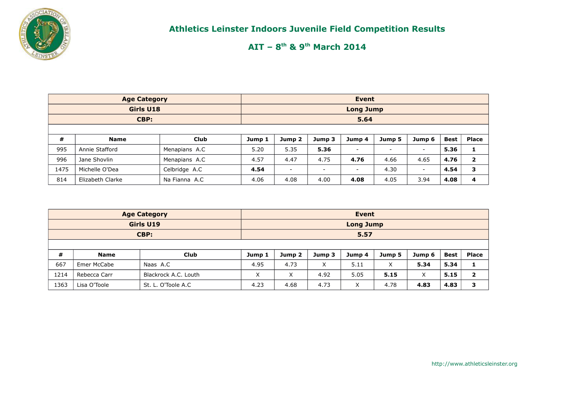

|      | <b>Age Category</b> |               |        |                          |        | <b>Event</b>             |                          |                          | <b>Best</b><br>5.36<br>$\overline{\phantom{a}}$<br>4.76<br>4.65 |                         |  |
|------|---------------------|---------------|--------|--------------------------|--------|--------------------------|--------------------------|--------------------------|-----------------------------------------------------------------|-------------------------|--|
|      | Girls U18           |               |        |                          |        | <b>Long Jump</b>         |                          |                          |                                                                 |                         |  |
|      | CBP:                |               |        |                          |        | 5.64                     |                          |                          |                                                                 |                         |  |
|      |                     |               |        |                          |        |                          |                          |                          |                                                                 |                         |  |
| #    | <b>Name</b>         | <b>Club</b>   | Jump 1 | Jump 2                   | Jump 3 | Jump 4                   | Jump 5                   | Jump 6                   |                                                                 | <b>Place</b>            |  |
| 995  | Annie Stafford      | Menapians A.C | 5.20   | 5.35                     | 5.36   | $\overline{\phantom{a}}$ | $\overline{\phantom{a}}$ |                          |                                                                 |                         |  |
| 996  | Jane Shovlin        | Menapians A.C | 4.57   | 4.47                     | 4.75   | 4.76                     | 4.66                     |                          |                                                                 | $\overline{\mathbf{2}}$ |  |
| 1475 | Michelle O'Dea      | Celbridge A.C | 4.54   | $\overline{\phantom{0}}$ | -      | $\overline{\phantom{0}}$ | 4.30                     | $\overline{\phantom{a}}$ | 4.54                                                            | 3                       |  |
| 814  | Elizabeth Clarke    | Na Fianna A.C | 4.06   | 4.08                     | 4.00   | 4.08                     | 4.05                     | 3.94                     | 4.08                                                            | 4                       |  |

|      |              | <b>Age Category</b>  |        |        |        | Event            |        |        |             |                |
|------|--------------|----------------------|--------|--------|--------|------------------|--------|--------|-------------|----------------|
|      |              | Girls U19            |        |        |        | <b>Long Jump</b> |        |        |             |                |
|      |              | CBP:                 | 5.57   |        |        |                  |        |        |             |                |
|      |              |                      |        |        |        |                  |        |        |             |                |
| #    | Name         | <b>Club</b>          | Jump 1 | Jump 2 | Jump 3 | Jump 4           | Jump 5 | Jump 6 | <b>Best</b> | <b>Place</b>   |
| 667  | Emer McCabe  | Naas A.C             | 4.95   | 4.73   | X      | 5.11             | X      | 5.34   | 5.34        |                |
| 1214 | Rebecca Carr | Blackrock A.C. Louth | X      | X      | 4.92   | 5.05             | 5.15   | X      | 5.15        | $\overline{2}$ |
| 1363 | Lisa O'Toole | St. L. O'Toole A.C   | 4.23   | 4.68   | 4.73   | X                | 4.78   | 4.83   | 4.83        | 3              |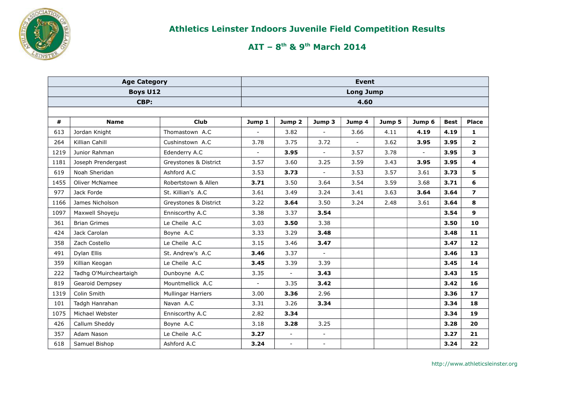

|      | <b>Age Category</b>    |                       |                |                          |                | <b>Event</b>             |        |        |             |                         |
|------|------------------------|-----------------------|----------------|--------------------------|----------------|--------------------------|--------|--------|-------------|-------------------------|
|      | <b>Boys U12</b>        |                       |                |                          |                | <b>Long Jump</b>         |        |        |             |                         |
|      | CBP:                   |                       |                |                          |                | 4.60                     |        |        |             |                         |
|      |                        |                       |                |                          |                |                          |        |        |             |                         |
| #    | <b>Name</b>            | Club                  | Jump 1         | Jump <sub>2</sub>        | Jump 3         | Jump 4                   | Jump 5 | Jump 6 | <b>Best</b> | <b>Place</b>            |
| 613  | Jordan Knight          | Thomastown A.C        |                | 3.82                     |                | 3.66                     | 4.11   | 4.19   | 4.19        | 1                       |
| 264  | Killian Cahill         | Cushinstown A.C       | 3.78           | 3.75                     | 3.72           | $\overline{\phantom{a}}$ | 3.62   | 3.95   | 3.95        | $\mathbf{2}$            |
| 1219 | Junior Rahman          | Edenderry A.C         | $\overline{a}$ | 3.95                     | $\blacksquare$ | 3.57                     | 3.78   | $\sim$ | 3.95        | 3                       |
| 1181 | Joseph Prendergast     | Greystones & District | 3.57           | 3.60                     | 3.25           | 3.59                     | 3.43   | 3.95   | 3.95        | $\overline{\mathbf{4}}$ |
| 619  | Noah Sheridan          | Ashford A.C           | 3.53           | 3.73                     | $\blacksquare$ | 3.53                     | 3.57   | 3.61   | 3.73        | 5                       |
| 1455 | <b>Oliver McNamee</b>  | Robertstown & Allen   | 3.71           | 3.50                     | 3.64           | 3.54                     | 3.59   | 3.68   | 3.71        | 6                       |
| 977  | Jack Forde             | St. Killian's A.C     | 3.61           | 3.49                     | 3.24           | 3.41                     | 3.63   | 3.64   | 3.64        | $\overline{\mathbf{z}}$ |
| 1166 | James Nicholson        | Greystones & District | 3.22           | 3.64                     | 3.50           | 3.24                     | 2.48   | 3.61   | 3.64        | 8                       |
| 1097 | Maxwell Shoyeju        | Enniscorthy A.C       | 3.38           | 3.37                     | 3.54           |                          |        |        | 3.54        | 9                       |
| 361  | <b>Brian Grimes</b>    | Le Cheile A.C         | 3.03           | 3.50                     | 3.38           |                          |        |        | 3.50        | 10                      |
| 424  | Jack Carolan           | Boyne A.C             | 3.33           | 3.29                     | 3.48           |                          |        |        | 3.48        | 11                      |
| 358  | Zach Costello          | Le Cheile A.C         | 3.15           | 3.46                     | 3.47           |                          |        |        | 3.47        | $12$                    |
| 491  | Dylan Ellis            | St. Andrew's A.C      | 3.46           | 3.37                     | $\blacksquare$ |                          |        |        | 3.46        | 13                      |
| 359  | Killian Keogan         | Le Cheile A.C         | 3.45           | 3.39                     | 3.39           |                          |        |        | 3.45        | 14                      |
| 222  | Tadhg O'Muircheartaigh | Dunboyne A.C          | 3.35           | $\overline{a}$           | 3.43           |                          |        |        | 3.43        | 15                      |
| 819  | Gearoid Dempsey        | Mountmellick A.C      |                | 3.35                     | 3.42           |                          |        |        | 3.42        | 16                      |
| 1319 | Colin Smith            | Mullingar Harriers    | 3.00           | 3.36                     | 2.96           |                          |        |        | 3.36        | 17                      |
| 101  | Tadgh Hanrahan         | Navan A.C             | 3.31           | 3.26                     | 3.34           |                          |        |        | 3.34        | 18                      |
| 1075 | Michael Webster        | Enniscorthy A.C       | 2.82           | 3.34                     |                |                          |        |        | 3.34        | 19                      |
| 426  | Callum Sheddy          | Boyne A.C             | 3.18           | 3.28                     | 3.25           |                          |        |        | 3.28        | 20                      |
| 357  | Adam Nason             | Le Cheile A.C         | 3.27           | $\blacksquare$           | $\blacksquare$ |                          |        |        | 3.27        | 21                      |
| 618  | Samuel Bishop          | Ashford A.C           | 3.24           | $\overline{\phantom{a}}$ | $\blacksquare$ |                          |        |        | 3.24        | 22                      |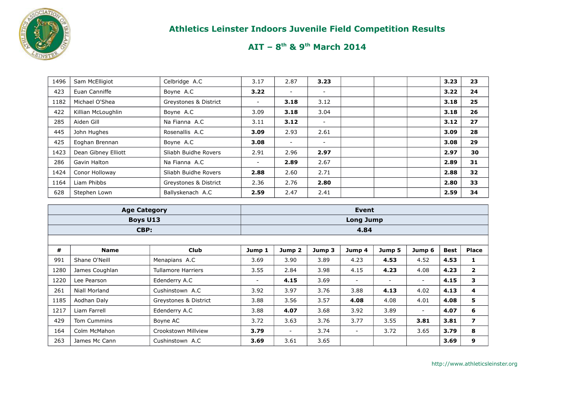

| 1496 | Sam McElligiot      | Celbridge A.C         | 3.17                     | 2.87                     | 3.23                     | 3.23 | 23 |
|------|---------------------|-----------------------|--------------------------|--------------------------|--------------------------|------|----|
| 423  | Euan Canniffe       | Boyne A.C             | 3.22                     |                          |                          | 3.22 | 24 |
| 1182 | Michael O'Shea      | Greystones & District | $\overline{\phantom{a}}$ | 3.18                     | 3.12                     | 3.18 | 25 |
| 422  | Killian McLoughlin  | Boyne A.C             | 3.09                     | 3.18                     | 3.04                     | 3.18 | 26 |
| 285  | Aiden Gill          | Na Fianna A.C         | 3.11                     | 3.12                     | $\sim$                   | 3.12 | 27 |
| 445  | John Hughes         | Rosenallis A.C        | 3.09                     | 2.93                     | 2.61                     | 3.09 | 28 |
| 425  | Eoghan Brennan      | Boyne A.C             | 3.08                     | $\overline{\phantom{0}}$ | $\overline{\phantom{0}}$ | 3.08 | 29 |
| 1423 | Dean Gibney Elliott | Sliabh Buidhe Rovers  | 2.91                     | 2.96                     | 2.97                     | 2.97 | 30 |
| 286  | Gavin Halton        | Na Fianna A.C         | -                        | 2.89                     | 2.67                     | 2.89 | 31 |
| 1424 | Conor Holloway      | Sliabh Buidhe Rovers  | 2.88                     | 2.60                     | 2.71                     | 2.88 | 32 |
| 1164 | Liam Phibbs         | Greystones & District | 2.36                     | 2.76                     | 2.80                     | 2.80 | 33 |
| 628  | Stephen Lown        | Ballyskenach A.C      | 2.59                     | 2.47                     | 2.41                     | 2.59 | 34 |

|      | <b>Age Category</b> |                           |                          |                          |        | Event                    |                          |                          |             |                |
|------|---------------------|---------------------------|--------------------------|--------------------------|--------|--------------------------|--------------------------|--------------------------|-------------|----------------|
|      | <b>Boys U13</b>     |                           |                          |                          |        | <b>Long Jump</b>         |                          |                          |             |                |
|      | CBP:                |                           |                          |                          |        | 4.84                     |                          |                          |             |                |
|      |                     |                           |                          |                          |        |                          |                          |                          |             |                |
| #    | <b>Name</b>         | <b>Club</b>               | Jump 1                   | Jump <sub>2</sub>        | Jump 3 | Jump 4                   | Jump 5                   | Jump 6                   | <b>Best</b> | <b>Place</b>   |
| 991  | Shane O'Neill       | Menapians A.C             | 3.69                     | 3.90                     | 3.89   | 4.23                     | 4.53                     | 4.52                     | 4.53        | 1              |
| 1280 | James Coughlan      | <b>Tullamore Harriers</b> | 3.55                     | 2.84                     | 3.98   | 4.15                     | 4.23                     | 4.08                     | 4.23        | $\mathbf{2}$   |
| 1220 | Lee Pearson         | Edenderry A.C             | $\overline{\phantom{a}}$ | 4.15                     | 3.69   | $\sim$                   | $\overline{\phantom{a}}$ | $\overline{\phantom{a}}$ | 4.15        | 3              |
| 261  | Niall Morland       | Cushinstown A.C           | 3.92                     | 3.97                     | 3.76   | 3.88                     | 4.13                     | 4.02                     | 4.13        | 4              |
| 1185 | Aodhan Daly         | Greystones & District     | 3.88                     | 3.56                     | 3.57   | 4.08                     | 4.08                     | 4.01                     | 4.08        | 5              |
| 1217 | Liam Farrell        | Edenderry A.C             | 3.88                     | 4.07                     | 3.68   | 3.92                     | 3.89                     | $\overline{\phantom{a}}$ | 4.07        | 6              |
| 429  | Tom Cummins         | Boyne AC                  | 3.72                     | 3.63                     | 3.76   | 3.77                     | 3.55                     | 3.81                     | 3.81        | $\overline{ }$ |
| 164  | Colm McMahon        | Crookstown Millview       | 3.79                     | $\overline{\phantom{a}}$ | 3.74   | $\overline{\phantom{a}}$ | 3.72                     | 3.65                     | 3.79        | 8              |
| 263  | James Mc Cann       | Cushinstown A.C           | 3.69                     | 3.61                     | 3.65   |                          |                          |                          | 3.69        | 9              |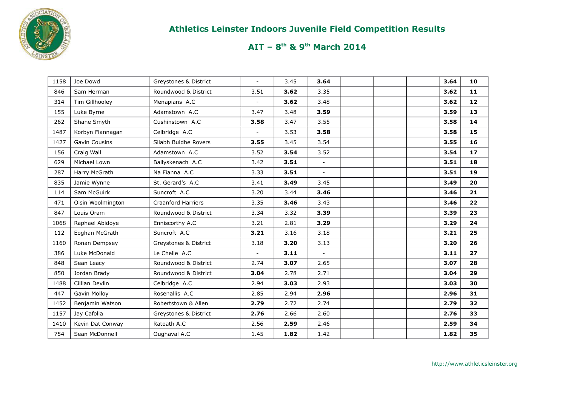

| 1158 | Joe Dowd          | Greystones & District | $\overline{\phantom{0}}$ | 3.45 | 3.64   |  | 3.64 | 10 |
|------|-------------------|-----------------------|--------------------------|------|--------|--|------|----|
| 846  | Sam Herman        | Roundwood & District  | 3.51                     | 3.62 | 3.35   |  | 3.62 | 11 |
| 314  | Tim Gillhooley    | Menapians A.C         | $\overline{\phantom{a}}$ | 3.62 | 3.48   |  | 3.62 | 12 |
| 155  | Luke Byrne        | Adamstown A.C         | 3.47                     | 3.48 | 3.59   |  | 3.59 | 13 |
| 262  | Shane Smyth       | Cushinstown A.C       | 3.58                     | 3.47 | 3.55   |  | 3.58 | 14 |
| 1487 | Korbyn Flannagan  | Celbridge A.C         | $\overline{a}$           | 3.53 | 3.58   |  | 3.58 | 15 |
| 1427 | Gavin Cousins     | Sliabh Buidhe Rovers  | 3.55                     | 3.45 | 3.54   |  | 3.55 | 16 |
| 156  | Craig Wall        | Adamstown A.C         | 3.52                     | 3.54 | 3.52   |  | 3.54 | 17 |
| 629  | Michael Lown      | Ballyskenach A.C      | 3.42                     | 3.51 | $\sim$ |  | 3.51 | 18 |
| 287  | Harry McGrath     | Na Fianna A.C         | 3.33                     | 3.51 | $\sim$ |  | 3.51 | 19 |
| 835  | Jamie Wynne       | St. Gerard's A.C      | 3.41                     | 3.49 | 3.45   |  | 3.49 | 20 |
| 114  | Sam McGuirk       | Suncroft A.C          | 3.20                     | 3.44 | 3.46   |  | 3.46 | 21 |
| 471  | Oisin Woolmington | Craanford Harriers    | 3.35                     | 3.46 | 3.43   |  | 3.46 | 22 |
| 847  | Louis Oram        | Roundwood & District  | 3.34                     | 3.32 | 3.39   |  | 3.39 | 23 |
| 1068 | Raphael Abidoye   | Enniscorthy A.C       | 3.21                     | 2.81 | 3.29   |  | 3.29 | 24 |
| 112  | Eoghan McGrath    | Suncroft A.C          | 3.21                     | 3.16 | 3.18   |  | 3.21 | 25 |
| 1160 | Ronan Dempsey     | Greystones & District | 3.18                     | 3.20 | 3.13   |  | 3.20 | 26 |
| 386  | Luke McDonald     | Le Cheile A.C         | $\overline{\phantom{a}}$ | 3.11 | $\sim$ |  | 3.11 | 27 |
| 848  | Sean Leacy        | Roundwood & District  | 2.74                     | 3.07 | 2.65   |  | 3.07 | 28 |
| 850  | Jordan Brady      | Roundwood & District  | 3.04                     | 2.78 | 2.71   |  | 3.04 | 29 |
| 1488 | Cillian Devlin    | Celbridge A.C         | 2.94                     | 3.03 | 2.93   |  | 3.03 | 30 |
| 447  | Gavin Molloy      | Rosenallis A.C        | 2.85                     | 2.94 | 2.96   |  | 2.96 | 31 |
| 1452 | Benjamin Watson   | Robertstown & Allen   | 2.79                     | 2.72 | 2.74   |  | 2.79 | 32 |
| 1157 | Jay Cafolla       | Greystones & District | 2.76                     | 2.66 | 2.60   |  | 2.76 | 33 |
| 1410 | Kevin Dat Conway  | Ratoath A.C           | 2.56                     | 2.59 | 2.46   |  | 2.59 | 34 |
| 754  | Sean McDonnell    | Oughaval A.C          | 1.45                     | 1.82 | 1.42   |  | 1.82 | 35 |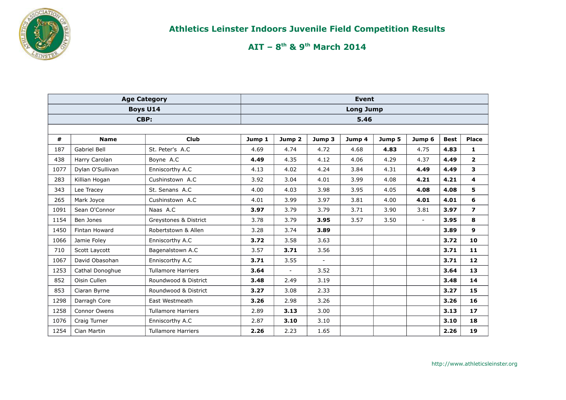

|      | <b>Age Category</b> |                           |        |                   |                | <b>Event</b>     |        |                |             |                         |
|------|---------------------|---------------------------|--------|-------------------|----------------|------------------|--------|----------------|-------------|-------------------------|
|      |                     | <b>Boys U14</b>           |        |                   |                | <b>Long Jump</b> |        |                |             |                         |
|      |                     | CBP:                      |        |                   |                | 5.46             |        |                |             |                         |
|      |                     |                           |        |                   |                |                  |        |                |             |                         |
| #    | <b>Name</b>         | <b>Club</b>               | Jump 1 | Jump <sub>2</sub> | Jump 3         | Jump 4           | Jump 5 | Jump 6         | <b>Best</b> | <b>Place</b>            |
| 187  | <b>Gabriel Bell</b> | St. Peter's A.C           | 4.69   | 4.74              | 4.72           | 4.68             | 4.83   | 4.75           | 4.83        | 1                       |
| 438  | Harry Carolan       | Boyne A.C                 | 4.49   | 4.35              | 4.12           | 4.06             | 4.29   | 4.37           | 4.49        | $\overline{2}$          |
| 1077 | Dylan O'Sullivan    | Enniscorthy A.C           | 4.13   | 4.02              | 4.24           | 3.84             | 4.31   | 4.49           | 4.49        | 3                       |
| 283  | Killian Hogan       | Cushinstown A.C           | 3.92   | 3.04              | 4.01           | 3.99             | 4.08   | 4.21           | 4.21        | $\overline{\mathbf{4}}$ |
| 343  | Lee Tracey          | St. Senans A.C            | 4.00   | 4.03              | 3.98           | 3.95             | 4.05   | 4.08           | 4.08        | 5                       |
| 265  | Mark Joyce          | Cushinstown A.C           | 4.01   | 3.99              | 3.97           | 3.81             | 4.00   | 4.01           | 4.01        | 6                       |
| 1091 | Sean O'Connor       | Naas A.C                  | 3.97   | 3.79              | 3.79           | 3.71             | 3.90   | 3.81           | 3.97        | $\overline{ }$          |
| 1154 | Ben Jones           | Greystones & District     | 3.78   | 3.79              | 3.95           | 3.57             | 3.50   | $\overline{a}$ | 3.95        | 8                       |
| 1450 | Fintan Howard       | Robertstown & Allen       | 3.28   | 3.74              | 3.89           |                  |        |                | 3.89        | 9                       |
| 1066 | Jamie Foley         | Enniscorthy A.C           | 3.72   | 3.58              | 3.63           |                  |        |                | 3.72        | 10                      |
| 710  | Scott Laycott       | Bagenalstown A.C          | 3.57   | 3.71              | 3.56           |                  |        |                | 3.71        | 11                      |
| 1067 | David Obasohan      | Enniscorthy A.C           | 3.71   | 3.55              | $\blacksquare$ |                  |        |                | 3.71        | 12                      |
| 1253 | Cathal Donoghue     | <b>Tullamore Harriers</b> | 3.64   | $\blacksquare$    | 3.52           |                  |        |                | 3.64        | 13                      |
| 852  | Oisin Cullen        | Roundwood & District      | 3.48   | 2.49              | 3.19           |                  |        |                | 3.48        | 14                      |
| 853  | Ciaran Byrne        | Roundwood & District      | 3.27   | 3.08              | 2.33           |                  |        |                | 3.27        | 15                      |
| 1298 | Darragh Core        | East Westmeath            | 3.26   | 2.98              | 3.26           |                  |        |                | 3.26        | 16                      |
| 1258 | Connor Owens        | <b>Tullamore Harriers</b> | 2.89   | 3.13              | 3.00           |                  |        |                | 3.13        | 17                      |
| 1076 | Craig Turner        | Enniscorthy A.C           | 2.87   | 3.10              | 3.10           |                  |        |                | 3.10        | 18                      |
| 1254 | Cian Martin         | <b>Tullamore Harriers</b> | 2.26   | 2.23              | 1.65           |                  |        |                | 2.26        | 19                      |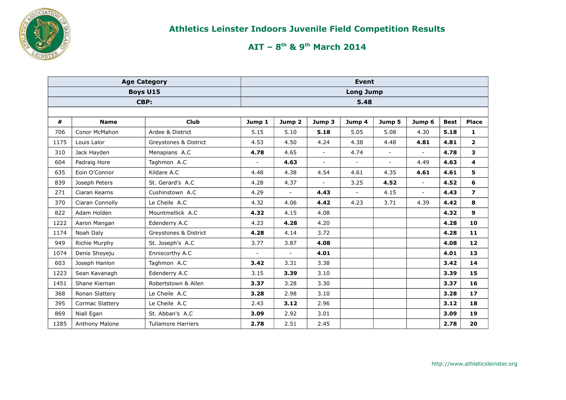

|      | <b>Age Category</b> |                           |                          |                          |                | <b>Event</b>             |                |                |             |                          |
|------|---------------------|---------------------------|--------------------------|--------------------------|----------------|--------------------------|----------------|----------------|-------------|--------------------------|
|      |                     | <b>Boys U15</b>           |                          |                          |                | <b>Long Jump</b>         |                |                |             |                          |
|      |                     | CBP:                      |                          |                          |                | 5.48                     |                |                |             |                          |
|      |                     |                           |                          |                          |                |                          |                |                |             |                          |
| #    | <b>Name</b>         | <b>Club</b>               | Jump 1                   | Jump 2                   | Jump 3         | Jump 4                   | Jump 5         | Jump 6         | <b>Best</b> | <b>Place</b>             |
| 706  | Conor McMahon       | Ardee & District          | 5.15                     | 5.10                     | 5.18           | 5.05                     | 5.08           | 4.30           | 5.18        | $\mathbf{1}$             |
| 1175 | Louis Lalor         | Greystones & District     | 4.53                     | 4.50                     | 4.24           | 4.38                     | 4.48           | 4.81           | 4.81        | $\mathbf{2}$             |
| 310  | Jack Hayden         | Menapians A.C             | 4.78                     | 4.65                     | $\blacksquare$ | 4.74                     | $\blacksquare$ | $\blacksquare$ | 4.78        | 3                        |
| 604  | Padraig Hore        | Taghmon A.C               |                          | 4.63                     | $\blacksquare$ | $\blacksquare$           | $\sim$         | 4.49           | 4.63        | $\overline{\mathbf{4}}$  |
| 635  | Eoin O'Connor       | Kildare A.C               | 4.48                     | 4.38                     | 4.54           | 4.61                     | 4.35           | 4.61           | 4.61        | 5                        |
| 839  | Joseph Peters       | St. Gerard's A.C          | 4.28                     | 4.37                     | $\blacksquare$ | 3.25                     | 4.52           | $\blacksquare$ | 4.52        | 6                        |
| 271  | Ciaran Kearns       | Cushinstown A.C           | 4.29                     | $\overline{\phantom{0}}$ | 4.43           | $\overline{\phantom{a}}$ | 4.15           | $\blacksquare$ | 4.43        | $\overline{\phantom{a}}$ |
| 370  | Ciaran Connolly     | Le Cheile A.C             | 4.32                     | 4.06                     | 4.42           | 4.23                     | 3.71           | 4.39           | 4.42        | 8                        |
| 822  | Adam Holden         | Mountmellick A.C          | 4.32                     | 4.15                     | 4.08           |                          |                |                | 4.32        | 9                        |
| 1222 | Aaron Mangan        | Edenderry A.C             | 4.23                     | 4.28                     | 4.20           |                          |                |                | 4.28        | 10                       |
| 1174 | Noah Daly           | Greystones & District     | 4.28                     | 4.14                     | 3.72           |                          |                |                | 4.28        | 11                       |
| 949  | Richie Murphy       | St. Joseph's A.C          | 3.77                     | 3.87                     | 4.08           |                          |                |                | 4.08        | 12                       |
| 1074 | Denis Shoyeju       | Enniscorthy A.C           | $\overline{\phantom{a}}$ | $\overline{\phantom{a}}$ | 4.01           |                          |                |                | 4.01        | 13                       |
| 603  | Joseph Hanlon       | Taghmon A.C               | 3.42                     | 3.31                     | 3.38           |                          |                |                | 3.42        | 14                       |
| 1223 | Sean Kavanagh       | Edenderry A.C             | 3.15                     | 3.39                     | 3.10           |                          |                |                | 3.39        | 15                       |
| 1451 | Shane Kiernan       | Robertstown & Allen       | 3.37                     | 3.28                     | 3.30           |                          |                |                | 3.37        | 16                       |
| 368  | Ronan Slattery      | Le Cheile A.C             | 3.28                     | 2.98                     | 3.10           |                          |                |                | 3.28        | $17$                     |
| 395  | Cormac Slattery     | Le Cheile A.C             | 2.43                     | 3.12                     | 2.96           |                          |                |                | 3.12        | 18                       |
| 869  | Niall Egan          | St. Abban's A.C           | 3.09                     | 2.92                     | 3.01           |                          |                |                | 3.09        | 19                       |
| 1285 | Anthony Malone      | <b>Tullamore Harriers</b> | 2.78                     | 2.51                     | 2.45           |                          |                |                | 2.78        | 20                       |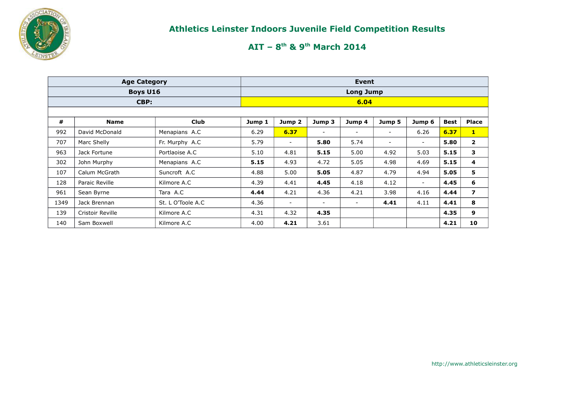

|      | <b>Age Category</b> |                   |        |                          |        | Event                    |        |                          |             |                          |
|------|---------------------|-------------------|--------|--------------------------|--------|--------------------------|--------|--------------------------|-------------|--------------------------|
|      | <b>Boys U16</b>     |                   |        |                          |        | <b>Long Jump</b>         |        |                          |             |                          |
|      | CBP:                |                   |        |                          |        | 6.04                     |        |                          |             |                          |
|      |                     |                   |        |                          |        |                          |        |                          |             |                          |
| #    | <b>Name</b>         | <b>Club</b>       | Jump 1 | Jump 2                   | Jump 3 | Jump 4                   | Jump 5 | Jump 6                   | <b>Best</b> | <b>Place</b>             |
| 992  | David McDonald      | Menapians A.C     | 6.29   | 6.37                     | $\sim$ | $\overline{\phantom{a}}$ | ۰.     | 6.26                     | 6.37        | $\mathbf{1}$             |
| 707  | Marc Shelly         | Fr. Murphy A.C    | 5.79   | $\overline{\phantom{a}}$ | 5.80   | 5.74                     | $\sim$ | $\overline{\phantom{a}}$ | 5.80        | $\mathbf{2}$             |
| 963  | Jack Fortune        | Portlaoise A.C    | 5.10   | 4.81                     | 5.15   | 5.00                     | 4.92   | 5.03                     | 5.15        | 3                        |
| 302  | John Murphy         | Menapians A.C     | 5.15   | 4.93                     | 4.72   | 5.05                     | 4.98   | 4.69                     | 5.15        | 4                        |
| 107  | Calum McGrath       | Suncroft A.C      | 4.88   | 5.00                     | 5.05   | 4.87                     | 4.79   | 4.94                     | 5.05        | 5                        |
| 128  | Paraic Reville      | Kilmore A.C       | 4.39   | 4.41                     | 4.45   | 4.18                     | 4.12   | $\overline{\phantom{a}}$ | 4.45        | 6                        |
| 961  | Sean Byrne          | Tara A.C          | 4.44   | 4.21                     | 4.36   | 4.21                     | 3.98   | 4.16                     | 4.44        | $\overline{\phantom{a}}$ |
| 1349 | Jack Brennan        | St. L O'Toole A.C | 4.36   | $\sim$                   | $\sim$ | $\overline{\phantom{a}}$ | 4.41   | 4.11                     | 4.41        | 8                        |
| 139  | Cristoir Reville    | Kilmore A.C       | 4.31   | 4.32                     | 4.35   |                          |        |                          | 4.35        | 9                        |
| 140  | Sam Boxwell         | Kilmore A.C       | 4.00   | 4.21                     | 3.61   |                          |        |                          | 4.21        | 10                       |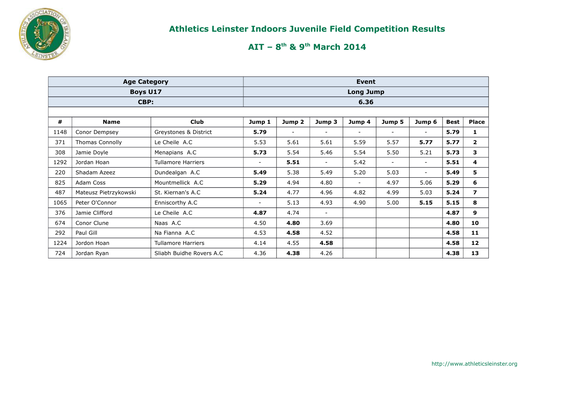

|      | <b>Age Category</b>    |                           |                          |                          |                          | Event            |                          |                          |             |                         |
|------|------------------------|---------------------------|--------------------------|--------------------------|--------------------------|------------------|--------------------------|--------------------------|-------------|-------------------------|
|      | Boys U17               |                           |                          |                          |                          | <b>Long Jump</b> |                          |                          |             |                         |
|      | CBP:                   |                           |                          |                          |                          | 6.36             |                          |                          |             |                         |
|      |                        |                           |                          |                          |                          |                  |                          |                          |             |                         |
| #    | <b>Name</b>            | <b>Club</b>               | Jump 1                   | Jump 2                   | Jump 3                   | Jump 4           | Jump 5                   | Jump 6                   | <b>Best</b> | <b>Place</b>            |
| 1148 | Conor Dempsey          | Greystones & District     | 5.79                     | $\overline{\phantom{a}}$ | $\overline{\phantom{a}}$ | $\sim$           | $\sim$                   | Ξ.                       | 5.79        | 1                       |
| 371  | <b>Thomas Connolly</b> | Le Cheile A.C             | 5.53                     | 5.61                     | 5.61                     | 5.59             | 5.57                     | 5.77                     | 5.77        | $\mathbf{2}$            |
| 308  | Jamie Doyle            | Menapians A.C             | 5.73                     | 5.54                     | 5.46                     | 5.54             | 5.50                     | 5.21                     | 5.73        | 3                       |
| 1292 | Jordan Hoan            | <b>Tullamore Harriers</b> |                          | 5.51                     | $\overline{\phantom{a}}$ | 5.42             | $\overline{\phantom{a}}$ | Ξ.                       | 5.51        | 4                       |
| 220  | Shadam Azeez           | Dundealgan A.C            | 5.49                     | 5.38                     | 5.49                     | 5.20             | 5.03                     | $\overline{\phantom{0}}$ | 5.49        | 5                       |
| 825  | Adam Coss              | Mountmellick A.C          | 5.29                     | 4.94                     | 4.80                     | $\sim$           | 4.97                     | 5.06                     | 5.29        | 6                       |
| 487  | Mateusz Pietrzykowski  | St. Kiernan's A.C         | 5.24                     | 4.77                     | 4.96                     | 4.82             | 4.99                     | 5.03                     | 5.24        | $\overline{\mathbf{z}}$ |
| 1065 | Peter O'Connor         | Enniscorthy A.C           | $\overline{\phantom{0}}$ | 5.13                     | 4.93                     | 4.90             | 5.00                     | 5.15                     | 5.15        | 8                       |
| 376  | Jamie Clifford         | Le Cheile A.C             | 4.87                     | 4.74                     | $\blacksquare$           |                  |                          |                          | 4.87        | 9                       |
| 674  | Conor Clune            | Naas A.C                  | 4.50                     | 4.80                     | 3.69                     |                  |                          |                          | 4.80        | 10                      |
| 292  | Paul Gill              | Na Fianna A.C             | 4.53                     | 4.58                     | 4.52                     |                  |                          |                          | 4.58        | 11                      |
| 1224 | Jordon Hoan            | <b>Tullamore Harriers</b> | 4.14                     | 4.55                     | 4.58                     |                  |                          |                          | 4.58        | 12                      |
| 724  | Jordan Ryan            | Sliabh Buidhe Rovers A.C  | 4.36                     | 4.38                     | 4.26                     |                  |                          |                          | 4.38        | 13                      |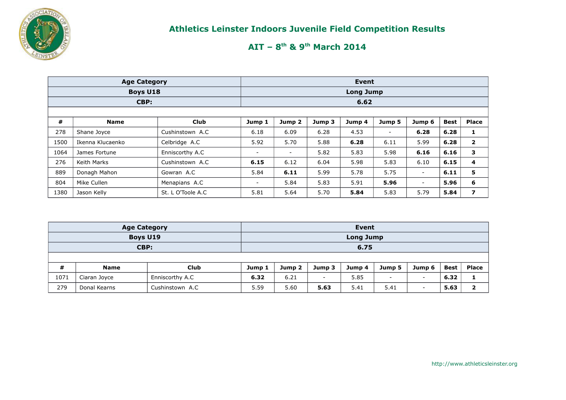

|      | <b>Age Category</b> |                   |                          |                          |        | Event            |        |                          |             |                         |
|------|---------------------|-------------------|--------------------------|--------------------------|--------|------------------|--------|--------------------------|-------------|-------------------------|
|      | <b>Boys U18</b>     |                   |                          |                          |        | <b>Long Jump</b> |        |                          |             |                         |
|      | CBP:                |                   |                          |                          |        | 6.62             |        |                          |             |                         |
|      |                     |                   |                          |                          |        |                  |        |                          |             |                         |
| #    | <b>Name</b>         | <b>Club</b>       | Jump 1                   | Jump <sub>2</sub>        | Jump 3 | Jump 4           | Jump 5 | Jump 6                   | <b>Best</b> | <b>Place</b>            |
| 278  | Shane Joyce         | Cushinstown A.C   | 6.18                     | 6.09                     | 6.28   | 4.53             | $\sim$ | 6.28                     | 6.28        | 1                       |
| 1500 | Ikenna Klucaenko    | Celbridge A.C     | 5.92                     | 5.70                     | 5.88   | 6.28             | 6.11   | 5.99                     | 6.28        | $\overline{2}$          |
| 1064 | James Fortune       | Enniscorthy A.C   | -                        | $\overline{\phantom{a}}$ | 5.82   | 5.83             | 5.98   | 6.16                     | 6.16        | 3                       |
| 276  | Keith Marks         | Cushinstown A.C   | 6.15                     | 6.12                     | 6.04   | 5.98             | 5.83   | 6.10                     | 6.15        | 4                       |
| 889  | Donagh Mahon        | Gowran A.C        | 5.84                     | 6.11                     | 5.99   | 5.78             | 5.75   | $\overline{\phantom{a}}$ | 6.11        | 5                       |
| 804  | Mike Cullen         | Menapians A.C     | $\overline{\phantom{0}}$ | 5.84                     | 5.83   | 5.91             | 5.96   | $\overline{\phantom{a}}$ | 5.96        | 6                       |
| 1380 | Jason Kelly         | St. L O'Toole A.C | 5.81                     | 5.64                     | 5.70   | 5.84             | 5.83   | 5.79                     | 5.84        | $\overline{\mathbf{z}}$ |

|      | <b>Age Category</b> |                 |        |        |                          | Event            |                          |                          |             |              |
|------|---------------------|-----------------|--------|--------|--------------------------|------------------|--------------------------|--------------------------|-------------|--------------|
|      | Boys U19            |                 |        |        |                          | <b>Long Jump</b> |                          |                          |             |              |
|      | CBP:                |                 |        |        |                          | 6.75             |                          |                          |             |              |
|      |                     |                 |        |        |                          |                  |                          |                          |             |              |
| #    | <b>Name</b>         | Club            | Jump 1 | Jump 2 | Jump 3                   | Jump 4           | Jump 5                   | Jump 6                   | <b>Best</b> | <b>Place</b> |
| 1071 | Ciaran Joyce        | Enniscorthy A.C | 6.32   | 6.21   | $\overline{\phantom{0}}$ | 5.85             | $\overline{\phantom{0}}$ | $\overline{\phantom{a}}$ | 6.32        |              |
| 279  | Donal Kearns        | Cushinstown A.C | 5.59   | 5.60   | 5.63                     | 5.41             | 5.41                     | $\overline{\phantom{a}}$ | 5.63        | כ            |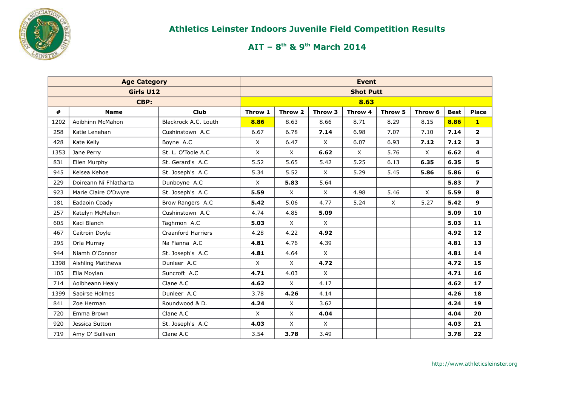

|      | <b>Age Category</b>    |                           |          |              |              | <b>Event</b>     |          |          |             |                         |
|------|------------------------|---------------------------|----------|--------------|--------------|------------------|----------|----------|-------------|-------------------------|
|      | Girls U12              |                           |          |              |              | <b>Shot Putt</b> |          |          |             |                         |
|      | CBP:                   |                           |          |              |              | 8.63             |          |          |             |                         |
| #    | <b>Name</b>            | <b>Club</b>               | Throw 1  | Throw 2      | Throw 3      | Throw 4          | Throw 5  | Throw 6  | <b>Best</b> | <b>Place</b>            |
| 1202 | Aoibhinn McMahon       | Blackrock A.C. Louth      | 8.86     | 8.63         | 8.66         | 8.71             | 8.29     | 8.15     | 8.86        | $\mathbf{1}$            |
| 258  | Katie Lenehan          | Cushinstown A.C           | 6.67     | 6.78         | 7.14         | 6.98             | 7.07     | 7.10     | 7.14        | $\overline{2}$          |
| 428  | Kate Kelly             | Boyne A.C                 | $\times$ | 6.47         | $\times$     | 6.07             | 6.93     | 7.12     | 7.12        | 3                       |
| 1353 | Jane Perry             | St. L. O'Toole A.C        | X        | X            | 6.62         | X                | 5.76     | $\times$ | 6.62        | 4                       |
| 831  | Ellen Murphy           | St. Gerard's A.C          | 5.52     | 5.65         | 5.42         | 5.25             | 6.13     | 6.35     | 6.35        | 5                       |
| 945  | Kelsea Kehoe           | St. Joseph's A.C          | 5.34     | 5.52         | $\times$     | 5.29             | 5.45     | 5.86     | 5.86        | 6                       |
| 229  | Doireann Ní Fhlatharta | Dunboyne A.C              | $\times$ | 5.83         | 5.64         |                  |          |          | 5.83        | $\overline{\mathbf{z}}$ |
| 923  | Marie Claire O'Dwyre   | St. Joseph's A.C          | 5.59     | $\mathsf{X}$ | $\mathsf{X}$ | 4.98             | 5.46     | $\times$ | 5.59        | 8                       |
| 181  | Eadaoin Coady          | Brow Rangers A.C          | 5.42     | 5.06         | 4.77         | 5.24             | $\times$ | 5.27     | 5.42        | 9                       |
| 257  | Katelyn McMahon        | Cushinstown A.C           | 4.74     | 4.85         | 5.09         |                  |          |          | 5.09        | 10                      |
| 605  | Kaci Blanch            | Taghmon A.C               | 5.03     | $\mathsf{X}$ | $\times$     |                  |          |          | 5.03        | 11                      |
| 467  | Caitroin Doyle         | <b>Craanford Harriers</b> | 4.28     | 4.22         | 4.92         |                  |          |          | 4.92        | 12                      |
| 295  | Orla Murray            | Na Fianna A.C             | 4.81     | 4.76         | 4.39         |                  |          |          | 4.81        | 13                      |
| 944  | Niamh O'Connor         | St. Joseph's A.C          | 4.81     | 4.64         | $\times$     |                  |          |          | 4.81        | 14                      |
| 1398 | Aishling Matthews      | Dunleer A.C               | $\times$ | $\mathsf{X}$ | 4.72         |                  |          |          | 4.72        | 15                      |
| 105  | Ella Moylan            | Suncroft A.C              | 4.71     | 4.03         | $\times$     |                  |          |          | 4.71        | 16                      |
| 714  | Aoibheann Healy        | Clane A.C                 | 4.62     | $\mathsf{X}$ | 4.17         |                  |          |          | 4.62        | 17                      |
| 1399 | Saoirse Holmes         | Dunleer A.C               | 3.78     | 4.26         | 4.14         |                  |          |          | 4.26        | 18                      |
| 841  | Zoe Herman             | Roundwood & D.            | 4.24     | $\mathsf{X}$ | 3.62         |                  |          |          | 4.24        | 19                      |
| 720  | Emma Brown             | Clane A.C                 | $\times$ | $\mathsf{X}$ | 4.04         |                  |          |          | 4.04        | 20                      |
| 920  | Jessica Sutton         | St. Joseph's A.C          | 4.03     | $\mathsf{X}$ | $\times$     |                  |          |          | 4.03        | 21                      |
| 719  | Amy O' Sullivan        | Clane A.C                 | 3.54     | 3.78         | 3.49         |                  |          |          | 3.78        | 22                      |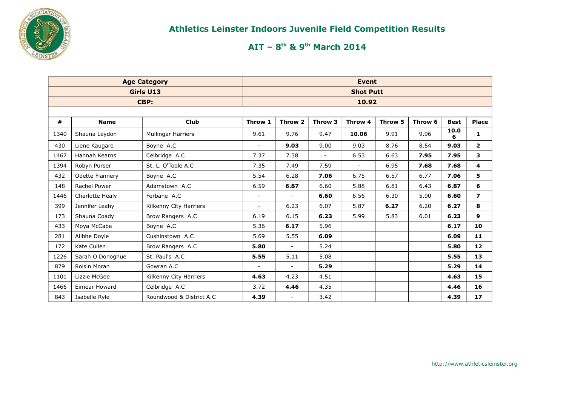

|      |                        | <b>Age Category</b>       |                |                          |         | <b>Event</b>     |         |         |             |                   |
|------|------------------------|---------------------------|----------------|--------------------------|---------|------------------|---------|---------|-------------|-------------------|
|      |                        | Girls U13                 |                |                          |         | <b>Shot Putt</b> |         |         |             |                   |
|      |                        | CBP:                      |                |                          |         | 10.92            |         |         |             |                   |
|      |                        |                           |                |                          |         |                  |         |         |             |                   |
| #    | <b>Name</b>            | <b>Club</b>               | Throw 1        | Throw 2                  | Throw 3 | Throw 4          | Throw 5 | Throw 6 | <b>Best</b> | <b>Place</b>      |
| 1340 | Shauna Leydon          | <b>Mullingar Harriers</b> | 9.61           | 9.76                     | 9.47    | 10.06            | 9.91    | 9.96    | 10.0<br>6   | $\mathbf{1}$      |
| 430  | Liene Kaugare          | Boyne A.C                 | $\sim$         | 9.03                     | 9.00    | 9.03             | 8.76    | 8.54    | 9.03        | $\overline{2}$    |
| 1467 | Hannah Kearns          | Celbridge A.C             | 7.37           | 7.38                     | $\sim$  | 6.53             | 6.63    | 7.95    | 7.95        | 3                 |
| 1394 | Robyn Purser           | St. L. O'Toole A.C        | 7.35           | 7.49                     | 7.59    | $\blacksquare$   | 6.95    | 7.68    | 7.68        | 4                 |
| 432  | <b>Odette Flannery</b> | Boyne A.C                 | 5.54           | 6.28                     | 7.06    | 6.75             | 6.57    | 6.77    | 7.06        | 5                 |
| 148  | Rachel Power           | Adamstown A.C             | 6.59           | 6.87                     | 6.60    | 5.88             | 6.81    | 6.43    | 6.87        | 6                 |
| 1446 | Charlotte Healy        | Ferbane A.C               | $\sim$         | $\sim$                   | 6.60    | 6.56             | 6.30    | 5.90    | 6.60        | $\overline{ }$    |
| 399  | Jennifer Leahy         | Kilkenny City Harriers    | $\blacksquare$ | 6.23                     | 6.07    | 5.87             | 6.27    | 6.20    | 6.27        | 8                 |
| 173  | Shauna Coady           | Brow Rangers A.C          | 6.19           | 6.15                     | 6.23    | 5.99             | 5.83    | 6.01    | 6.23        | 9                 |
| 433  | Moya McCabe            | Boyne A.C                 | 5.36           | 6.17                     | 5.96    |                  |         |         | 6.17        | 10                |
| 281  | Ailbhe Doyle           | Cushinstown A.C           | 5.69           | 5.55                     | 6.09    |                  |         |         | 6.09        | 11                |
| 172  | Kate Cullen            | Brow Rangers A.C          | 5.80           | $\blacksquare$           | 5.24    |                  |         |         | 5.80        | $12 \overline{ }$ |
| 1226 | Sarah O Donoghue       | St. Paul's A.C            | 5.55           | 5.11                     | 5.08    |                  |         |         | 5.55        | 13                |
| 879  | Roisin Moran           | Gowran A.C                | $\blacksquare$ | $\overline{\phantom{a}}$ | 5.29    |                  |         |         | 5.29        | 14                |
| 1101 | Lizzie McGee           | Kilkenny City Harriers    | 4.63           | 4.23                     | 4.51    |                  |         |         | 4.63        | 15                |
| 1466 | Eimear Howard          | Celbridge A.C             | 3.72           | 4.46                     | 4.35    |                  |         |         | 4.46        | 16                |
| 843  | Isabelle Ryle          | Roundwood & District A.C  | 4.39           | $\blacksquare$           | 3.42    |                  |         |         | 4.39        | 17 <sub>2</sub>   |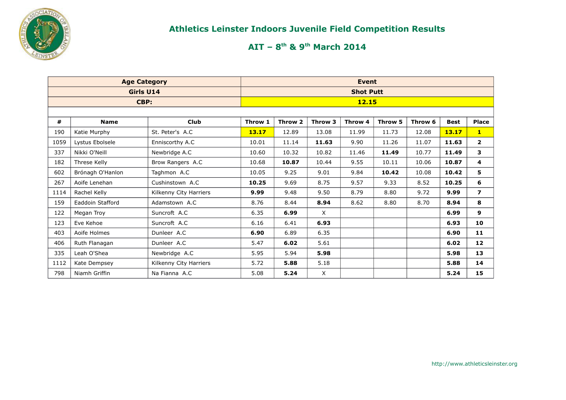

|      | <b>Age Category</b> |                        |         |         |         | <b>Event</b>     |         |         |             |                |
|------|---------------------|------------------------|---------|---------|---------|------------------|---------|---------|-------------|----------------|
|      | Girls U14           |                        |         |         |         | <b>Shot Putt</b> |         |         |             |                |
|      | CBP:                |                        |         |         |         | <b>12.15</b>     |         |         |             |                |
|      |                     |                        |         |         |         |                  |         |         |             |                |
| #    | <b>Name</b>         | <b>Club</b>            | Throw 1 | Throw 2 | Throw 3 | Throw 4          | Throw 5 | Throw 6 | <b>Best</b> | Place          |
| 190  | Katie Murphy        | St. Peter's A.C        | 13.17   | 12.89   | 13.08   | 11.99            | 11.73   | 12.08   | 13.17       | $\mathbf{1}$   |
| 1059 | Lystus Ebolsele     | Enniscorthy A.C        | 10.01   | 11.14   | 11.63   | 9.90             | 11.26   | 11.07   | 11.63       | $\overline{2}$ |
| 337  | Nikki O'Neill       | Newbridge A.C          | 10.60   | 10.32   | 10.82   | 11.46            | 11.49   | 10.77   | 11.49       | 3              |
| 182  | Threse Kelly        | Brow Rangers A.C       | 10.68   | 10.87   | 10.44   | 9.55             | 10.11   | 10.06   | 10.87       | 4              |
| 602  | Brónagh O'Hanlon    | Taghmon A.C            | 10.05   | 9.25    | 9.01    | 9.84             | 10.42   | 10.08   | 10.42       | 5              |
| 267  | Aoife Lenehan       | Cushinstown A.C        | 10.25   | 9.69    | 8.75    | 9.57             | 9.33    | 8.52    | 10.25       | 6              |
| 1114 | Rachel Kelly        | Kilkenny City Harriers | 9.99    | 9.48    | 9.50    | 8.79             | 8.80    | 9.72    | 9.99        | $\overline{ }$ |
| 159  | Eaddoin Stafford    | Adamstown A.C          | 8.76    | 8.44    | 8.94    | 8.62             | 8.80    | 8.70    | 8.94        | 8              |
| 122  | Megan Troy          | Suncroft A.C           | 6.35    | 6.99    | X       |                  |         |         | 6.99        | 9              |
| 123  | Eve Kehoe           | Suncroft A.C           | 6.16    | 6.41    | 6.93    |                  |         |         | 6.93        | 10             |
| 403  | Aoife Holmes        | Dunleer A.C            | 6.90    | 6.89    | 6.35    |                  |         |         | 6.90        | 11             |
| 406  | Ruth Flanagan       | Dunleer A.C            | 5.47    | 6.02    | 5.61    |                  |         |         | 6.02        | 12             |
| 335  | Leah O'Shea         | Newbridge A.C          | 5.95    | 5.94    | 5.98    |                  |         |         | 5.98        | 13             |
| 1112 | Kate Dempsey        | Kilkenny City Harriers | 5.72    | 5.88    | 5.18    |                  |         |         | 5.88        | 14             |
| 798  | Niamh Griffin       | Na Fianna A.C          | 5.08    | 5.24    | X       |                  |         |         | 5.24        | 15             |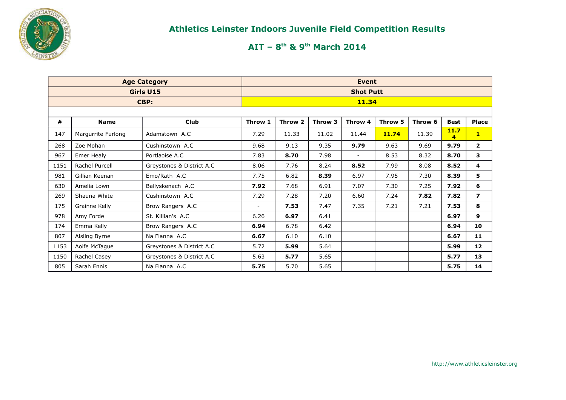

|      |                    | <b>Age Category</b>       |         |         |         | <b>Event</b>     |         |         |             |                 |
|------|--------------------|---------------------------|---------|---------|---------|------------------|---------|---------|-------------|-----------------|
|      |                    | Girls U15                 |         |         |         | <b>Shot Putt</b> |         |         |             |                 |
|      |                    | CBP:                      |         |         |         | <b>11.34</b>     |         |         |             |                 |
|      |                    |                           |         |         |         |                  |         |         |             |                 |
| #    | <b>Name</b>        | <b>Club</b>               | Throw 1 | Throw 2 | Throw 3 | Throw 4          | Throw 5 | Throw 6 | <b>Best</b> | <b>Place</b>    |
| 147  | Margurrite Furlong | Adamstown A.C             | 7.29    | 11.33   | 11.02   | 11.44            | 11.74   | 11.39   | 11.7<br>4   | $\mathbf{1}$    |
| 268  | Zoe Mohan          | Cushinstown A.C.          | 9.68    | 9.13    | 9.35    | 9.79             | 9.63    | 9.69    | 9.79        | $\mathbf{2}$    |
| 967  | Emer Healy         | Portlaoise A.C            | 7.83    | 8.70    | 7.98    | $\sim$           | 8.53    | 8.32    | 8.70        | 3               |
| 1151 | Rachel Purcell     | Greystones & District A.C | 8.06    | 7.76    | 8.24    | 8.52             | 7.99    | 8.08    | 8.52        | 4               |
| 981  | Gillian Keenan     | Emo/Rath A.C              | 7.75    | 6.82    | 8.39    | 6.97             | 7.95    | 7.30    | 8.39        | 5               |
| 630  | Amelia Lown        | Ballyskenach A.C          | 7.92    | 7.68    | 6.91    | 7.07             | 7.30    | 7.25    | 7.92        | 6               |
| 269  | Shauna White       | Cushinstown A.C           | 7.29    | 7.28    | 7.20    | 6.60             | 7.24    | 7.82    | 7.82        | $\overline{ }$  |
| 175  | Grainne Kelly      | Brow Rangers A.C          | $\sim$  | 7.53    | 7.47    | 7.35             | 7.21    | 7.21    | 7.53        | 8               |
| 978  | Amy Forde          | St. Killian's A.C         | 6.26    | 6.97    | 6.41    |                  |         |         | 6.97        | 9               |
| 174  | Emma Kelly         | Brow Rangers A.C          | 6.94    | 6.78    | 6.42    |                  |         |         | 6.94        | 10              |
| 807  | Aisling Byrne      | Na Fianna A.C             | 6.67    | 6.10    | 6.10    |                  |         |         | 6.67        | 11              |
| 1153 | Aoife McTague      | Greystones & District A.C | 5.72    | 5.99    | 5.64    |                  |         |         | 5.99        | 12 <sub>2</sub> |
| 1150 | Rachel Casey       | Greystones & District A.C | 5.63    | 5.77    | 5.65    |                  |         |         | 5.77        | 13              |
| 805  | Sarah Ennis        | Na Fianna A.C             | 5.75    | 5.70    | 5.65    |                  |         |         | 5.75        | 14              |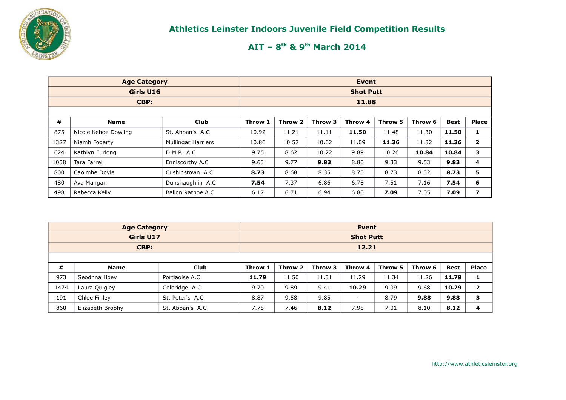

|      | <b>Age Category</b>  |                           |         |         |         | <b>Event</b>     |         |         |             |                |
|------|----------------------|---------------------------|---------|---------|---------|------------------|---------|---------|-------------|----------------|
|      | Girls U16            |                           |         |         |         | <b>Shot Putt</b> |         |         |             |                |
|      | CBP:                 |                           |         |         |         | 11.88            |         |         |             |                |
|      |                      |                           |         |         |         |                  |         |         |             |                |
| #    | <b>Name</b>          | <b>Club</b>               | Throw 1 | Throw 2 | Throw 3 | Throw 4          | Throw 5 | Throw 6 | <b>Best</b> | <b>Place</b>   |
| 875  | Nicole Kehoe Dowling | St. Abban's A.C           | 10.92   | 11.21   | 11.11   | 11.50            | 11.48   | 11.30   | 11.50       | 1              |
| 1327 | Niamh Fogarty        | <b>Mullingar Harriers</b> | 10.86   | 10.57   | 10.62   | 11.09            | 11.36   | 11.32   | 11.36       | $\overline{2}$ |
| 624  | Kathlyn Furlong      | D.M.P. A.C                | 9.75    | 8.62    | 10.22   | 9.89             | 10.26   | 10.84   | 10.84       | з              |
| 1058 | Tara Farrell         | Enniscorthy A.C           | 9.63    | 9.77    | 9.83    | 8.80             | 9.33    | 9.53    | 9.83        | 4              |
| 800  | Caoimhe Doyle        | Cushinstown A.C           | 8.73    | 8.68    | 8.35    | 8.70             | 8.73    | 8.32    | 8.73        | 5              |
| 480  | Ava Mangan           | Dunshaughlin A.C          | 7.54    | 7.37    | 6.86    | 6.78             | 7.51    | 7.16    | 7.54        | 6              |
| 498  | Rebecca Kelly        | Ballon Rathoe A.C         | 6.17    | 6.71    | 6.94    | 6.80             | 7.09    | 7.05    | 7.09        | 7              |

|      | <b>Age Category</b> |                 |         |         |         | Event            |         |         |             |                |
|------|---------------------|-----------------|---------|---------|---------|------------------|---------|---------|-------------|----------------|
|      | Girls U17           |                 |         |         |         | <b>Shot Putt</b> |         |         |             |                |
|      | CBP:                |                 |         |         |         | 12.21            |         |         |             |                |
|      |                     |                 |         |         |         |                  |         |         |             |                |
| #    | <b>Name</b>         | <b>Club</b>     | Throw 1 | Throw 2 | Throw 3 | Throw 4          | Throw 5 | Throw 6 | <b>Best</b> | <b>Place</b>   |
| 973  | Seodhna Hoey        | Portlaoise A.C  | 11.79   | 11.50   | 11.31   | 11.29            | 11.34   | 11.26   | 11.79       |                |
| 1474 | Laura Quigley       | Celbridge A.C   | 9.70    | 9.89    | 9.41    | 10.29            | 9.09    | 9.68    | 10.29       | $\overline{2}$ |
| 191  | Chloe Finley        | St. Peter's A.C | 8.87    | 9.58    | 9.85    | ۰.               | 8.79    | 9.88    | 9.88        | 3              |
| 860  | Elizabeth Brophy    | St. Abban's A.C | 7.75    | 7.46    | 8.12    | 7.95             | 7.01    | 8.10    | 8.12        | 4              |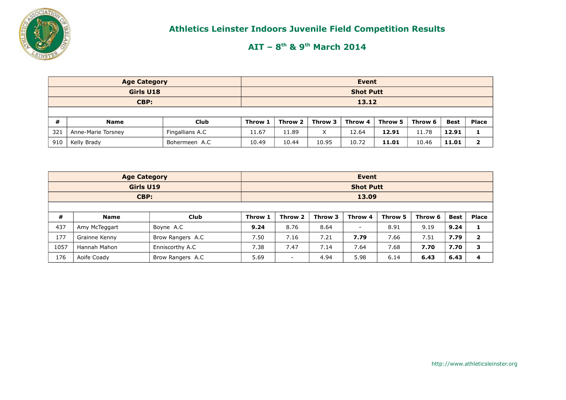

|           | <b>Age Category</b>          | Event           |         |                  |         |         |         |         |       |       |  |  |
|-----------|------------------------------|-----------------|---------|------------------|---------|---------|---------|---------|-------|-------|--|--|
| Girls U18 |                              |                 |         | <b>Shot Putt</b> |         |         |         |         |       |       |  |  |
|           | CBP:                         |                 | 13.12   |                  |         |         |         |         |       |       |  |  |
|           |                              |                 |         |                  |         |         |         |         |       |       |  |  |
| #         | <b>Name</b>                  | Club            | Throw 1 | Throw 2          | Throw 3 | Throw 4 | Throw 5 | Throw 6 | Best  | Place |  |  |
| 321       | Anne-Marie Torsney           | Fingallians A.C | 11.67   | 11.89            | X       | 12.64   | 12.91   | 11.78   | 12.91 |       |  |  |
| 910       | Kelly Brady<br>Bohermeen A.C |                 |         | 10.44            | 10.95   | 10.72   | 11.01   | 10.46   | 11.01 | ּ     |  |  |

|      | <b>Age Category</b> |                  |                          | Event   |         |                          |         |         |             |                |  |  |  |  |
|------|---------------------|------------------|--------------------------|---------|---------|--------------------------|---------|---------|-------------|----------------|--|--|--|--|
|      | Girls U19           | <b>Shot Putt</b> |                          |         |         |                          |         |         |             |                |  |  |  |  |
|      | CBP:                |                  |                          |         | 13.09   |                          |         |         |             |                |  |  |  |  |
|      |                     |                  |                          |         |         |                          |         |         |             |                |  |  |  |  |
| #    | <b>Name</b>         | <b>Club</b>      | Throw 1                  | Throw 2 | Throw 3 | Throw 4                  | Throw 5 | Throw 6 | <b>Best</b> | <b>Place</b>   |  |  |  |  |
| 437  | Amy McTeggart       | Boyne A.C        | 9.24                     | 8.76    | 8.64    | $\overline{\phantom{a}}$ | 8.91    | 9.19    | 9.24        |                |  |  |  |  |
| 177  | Grainne Kenny       | Brow Rangers A.C | 7.50                     | 7.16    | 7.21    | 7.79                     | 7.66    | 7.51    | 7.79        | $\overline{2}$ |  |  |  |  |
| 1057 | Hannah Mahon        | Enniscorthy A.C  | 7.38                     | 7.47    | 7.14    | 7.64                     | 7.68    | 7.70    | 7.70        | 3              |  |  |  |  |
| 176  | Aoife Coady         | 5.69             | $\overline{\phantom{0}}$ | 4.94    | 5.98    | 6.14                     | 6.43    | 6.43    | 4           |                |  |  |  |  |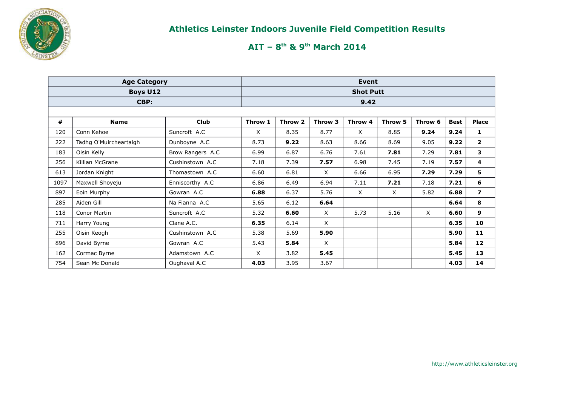

|      | <b>Age Category</b>    |                  |          |         | Event   |                  |         |          |             |                |  |  |
|------|------------------------|------------------|----------|---------|---------|------------------|---------|----------|-------------|----------------|--|--|
|      | <b>Boys U12</b>        |                  |          |         |         | <b>Shot Putt</b> |         |          |             |                |  |  |
|      | CBP:                   |                  |          | 9.42    |         |                  |         |          |             |                |  |  |
|      |                        |                  |          |         |         |                  |         |          |             |                |  |  |
| #    | <b>Name</b>            | <b>Club</b>      | Throw 1  | Throw 2 | Throw 3 | Throw 4          | Throw 5 | Throw 6  | <b>Best</b> | Place          |  |  |
| 120  | Conn Kehoe             | Suncroft A.C     | $\times$ | 8.35    | 8.77    | $\times$         | 8.85    | 9.24     | 9.24        | 1              |  |  |
| 222  | Tadhg O'Muircheartaigh | Dunboyne A.C     | 8.73     | 9.22    | 8.63    | 8.66             | 8.69    | 9.05     | 9.22        | $\mathbf{2}$   |  |  |
| 183  | Oisin Kelly            | Brow Rangers A.C | 6.99     | 6.87    | 6.76    | 7.61             | 7.81    | 7.29     | 7.81        | 3              |  |  |
| 256  | Killian McGrane        | Cushinstown A.C  | 7.18     | 7.39    | 7.57    | 6.98             | 7.45    | 7.19     | 7.57        | 4              |  |  |
| 613  | Jordan Knight          | Thomastown A.C   | 6.60     | 6.81    | X       | 6.66             | 6.95    | 7.29     | 7.29        | 5              |  |  |
| 1097 | Maxwell Shoyeju        | Enniscorthy A.C  | 6.86     | 6.49    | 6.94    | 7.11             | 7.21    | 7.18     | 7.21        | 6              |  |  |
| 897  | Eoin Murphy            | Gowran A.C       | 6.88     | 6.37    | 5.76    | X                | X       | 5.82     | 6.88        | $\overline{ }$ |  |  |
| 285  | Aiden Gill             | Na Fianna A.C    | 5.65     | 6.12    | 6.64    |                  |         |          | 6.64        | 8              |  |  |
| 118  | Conor Martin           | Suncroft A.C     | 5.32     | 6.60    | X       | 5.73             | 5.16    | $\times$ | 6.60        | 9              |  |  |
| 711  | Harry Young            | Clane A.C.       | 6.35     | 6.14    | X       |                  |         |          | 6.35        | 10             |  |  |
| 255  | Oisin Keogh            | Cushinstown A.C  | 5.38     | 5.69    | 5.90    |                  |         |          | 5.90        | 11             |  |  |
| 896  | David Byrne            | Gowran A.C       | 5.43     | 5.84    | X       |                  |         |          | 5.84        | 12             |  |  |
| 162  | Cormac Byrne           | Adamstown A.C    | X        | 3.82    | 5.45    |                  |         |          | 5.45        | 13             |  |  |
| 754  | Sean Mc Donald         | Oughaval A.C     | 4.03     | 3.95    | 3.67    |                  |         |          | 4.03        | 14             |  |  |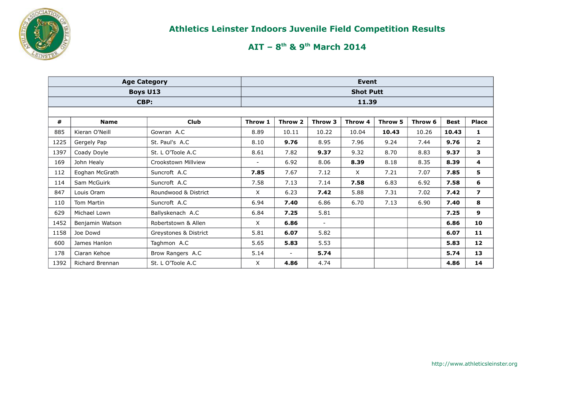

|      | <b>Age Category</b> |                       |                          |         | Event          |                  |         |         |             |                         |
|------|---------------------|-----------------------|--------------------------|---------|----------------|------------------|---------|---------|-------------|-------------------------|
|      | <b>Boys U13</b>     |                       |                          |         |                | <b>Shot Putt</b> |         |         |             |                         |
|      | CBP:                |                       |                          |         |                | 11.39            |         |         |             |                         |
|      |                     |                       |                          |         |                |                  |         |         |             |                         |
| #    | <b>Name</b>         | <b>Club</b>           | Throw 1                  | Throw 2 | Throw 3        | Throw 4          | Throw 5 | Throw 6 | <b>Best</b> | <b>Place</b>            |
| 885  | Kieran O'Neill      | Gowran A.C            | 8.89                     | 10.11   | 10.22          | 10.04            | 10.43   | 10.26   | 10.43       | 1                       |
| 1225 | Gergely Pap         | St. Paul's A.C        | 8.10                     | 9.76    | 8.95           | 7.96             | 9.24    | 7.44    | 9.76        | 2                       |
| 1397 | Coady Doyle         | St. L O'Toole A.C     | 8.61                     | 7.82    | 9.37           | 9.32             | 8.70    | 8.83    | 9.37        | 3                       |
| 169  | John Healy          | Crookstown Millview   | $\overline{\phantom{a}}$ | 6.92    | 8.06           | 8.39             | 8.18    | 8.35    | 8.39        | 4                       |
| 112  | Eoghan McGrath      | Suncroft A.C          | 7.85                     | 7.67    | 7.12           | X                | 7.21    | 7.07    | 7.85        | 5                       |
| 114  | Sam McGuirk         | Suncroft A.C          | 7.58                     | 7.13    | 7.14           | 7.58             | 6.83    | 6.92    | 7.58        | 6                       |
| 847  | Louis Oram          | Roundwood & District  | X                        | 6.23    | 7.42           | 5.88             | 7.31    | 7.02    | 7.42        | $\overline{\mathbf{z}}$ |
| 110  | Tom Martin          | Suncroft A.C          | 6.94                     | 7.40    | 6.86           | 6.70             | 7.13    | 6.90    | 7.40        | 8                       |
| 629  | Michael Lown        | Ballyskenach A.C      | 6.84                     | 7.25    | 5.81           |                  |         |         | 7.25        | 9                       |
| 1452 | Benjamin Watson     | Robertstown & Allen   | X                        | 6.86    | $\blacksquare$ |                  |         |         | 6.86        | 10                      |
| 1158 | Joe Dowd            | Greystones & District | 5.81                     | 6.07    | 5.82           |                  |         |         | 6.07        | 11                      |
| 600  | James Hanlon        | Taghmon A.C           | 5.65                     | 5.83    | 5.53           |                  |         |         | 5.83        | 12                      |
| 178  | Ciaran Kehoe        | Brow Rangers A.C      | 5.14                     |         | 5.74           |                  |         |         | 5.74        | 13                      |
| 1392 | Richard Brennan     | St. L O'Toole A.C     | X                        | 4.86    | 4.74           |                  |         |         | 4.86        | 14                      |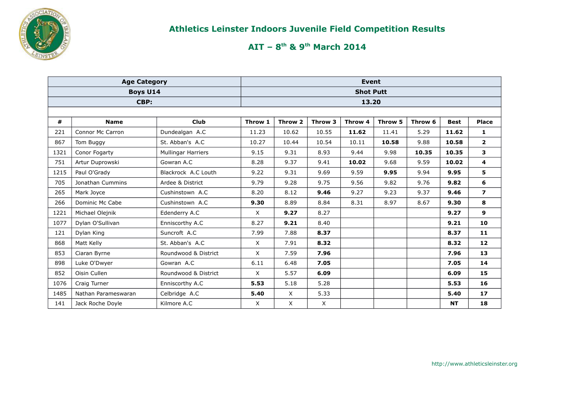

|      | <b>Age Category</b>     |                      |         |         |         | <b>Event</b>     |         |         |             |                |
|------|-------------------------|----------------------|---------|---------|---------|------------------|---------|---------|-------------|----------------|
|      | <b>Boys U14</b>         |                      |         |         |         | <b>Shot Putt</b> |         |         |             |                |
|      | CBP:                    |                      |         |         |         | 13.20            |         |         |             |                |
|      |                         |                      |         |         |         |                  |         |         |             |                |
| #    | <b>Name</b>             | <b>Club</b>          | Throw 1 | Throw 2 | Throw 3 | Throw 4          | Throw 5 | Throw 6 | <b>Best</b> | <b>Place</b>   |
| 221  | <b>Connor Mc Carron</b> | Dundealgan A.C       | 11.23   | 10.62   | 10.55   | 11.62            | 11.41   | 5.29    | 11.62       | $\mathbf{1}$   |
| 867  | Tom Buggy               | St. Abban's A.C      | 10.27   | 10.44   | 10.54   | 10.11            | 10.58   | 9.88    | 10.58       | $\overline{2}$ |
| 1321 | Conor Fogarty           | Mullingar Harriers   | 9.15    | 9.31    | 8.93    | 9.44             | 9.98    | 10.35   | 10.35       | 3              |
| 751  | Artur Duprowski         | Gowran A.C           | 8.28    | 9.37    | 9.41    | 10.02            | 9.68    | 9.59    | 10.02       | 4              |
| 1215 | Paul O'Grady            | Blackrock A.C Louth  | 9.22    | 9.31    | 9.69    | 9.59             | 9.95    | 9.94    | 9.95        | 5              |
| 705  | Jonathan Cummins        | Ardee & District     | 9.79    | 9.28    | 9.75    | 9.56             | 9.82    | 9.76    | 9.82        | 6              |
| 265  | Mark Joyce              | Cushinstown A.C      | 8.20    | 8.12    | 9.46    | 9.27             | 9.23    | 9.37    | 9.46        | $\overline{ }$ |
| 266  | Dominic Mc Cabe         | Cushinstown A.C      | 9.30    | 8.89    | 8.84    | 8.31             | 8.97    | 8.67    | 9.30        | 8              |
| 1221 | Michael Olejnik         | Edenderry A.C        | X       | 9.27    | 8.27    |                  |         |         | 9.27        | $\mathbf{9}$   |
| 1077 | Dylan O'Sullivan        | Enniscorthy A.C      | 8.27    | 9.21    | 8.40    |                  |         |         | 9.21        | 10             |
| 121  | Dylan King              | Suncroft A.C         | 7.99    | 7.88    | 8.37    |                  |         |         | 8.37        | 11             |
| 868  | Matt Kelly              | St. Abban's A.C      | X       | 7.91    | 8.32    |                  |         |         | 8.32        | 12             |
| 853  | Ciaran Byrne            | Roundwood & District | X       | 7.59    | 7.96    |                  |         |         | 7.96        | 13             |
| 898  | Luke O'Dwyer            | Gowran A.C           | 6.11    | 6.48    | 7.05    |                  |         |         | 7.05        | 14             |
| 852  | Oisin Cullen            | Roundwood & District | X       | 5.57    | 6.09    |                  |         |         | 6.09        | 15             |
| 1076 | Craig Turner            | Enniscorthy A.C      | 5.53    | 5.18    | 5.28    |                  |         |         | 5.53        | 16             |
| 1485 | Nathan Parameswaran     | Celbridge A.C        | 5.40    | X       | 5.33    |                  |         |         | 5.40        | 17             |
| 141  | Jack Roche Doyle        | Kilmore A.C          | X       | X       | X       |                  |         |         | <b>NT</b>   | 18             |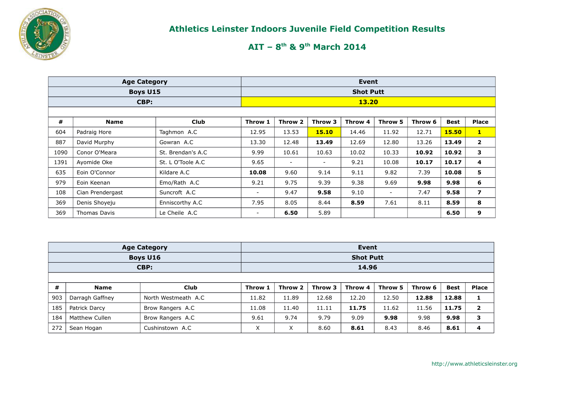

|      | <b>Age Category</b> |                    |                  |                          | Event   |         |                |         |             |                |  |  |  |  |  |
|------|---------------------|--------------------|------------------|--------------------------|---------|---------|----------------|---------|-------------|----------------|--|--|--|--|--|
|      | <b>Boys U15</b>     |                    | <b>Shot Putt</b> |                          |         |         |                |         |             |                |  |  |  |  |  |
|      | CBP:                |                    |                  | 13.20                    |         |         |                |         |             |                |  |  |  |  |  |
|      |                     |                    |                  |                          |         |         |                |         |             |                |  |  |  |  |  |
| #    | <b>Name</b>         | <b>Club</b>        | Throw 1          | Throw 2                  | Throw 3 | Throw 4 | Throw 5        | Throw 6 | <b>Best</b> | <b>Place</b>   |  |  |  |  |  |
| 604  | Padraig Hore        | Taghmon A.C        | 12.95            | 13.53                    | 15.10   | 14.46   | 11.92          | 12.71   | 15.50       | $\mathbf{1}$   |  |  |  |  |  |
| 887  | David Murphy        | Gowran A.C         | 13.30            | 12.48                    | 13.49   | 12.69   | 12.80          | 13.26   | 13.49       | $\mathbf{2}$   |  |  |  |  |  |
| 1090 | Conor O'Meara       | St. Brendan's A.C. | 9.99             | 10.61                    | 10.63   | 10.02   | 10.33          | 10.92   | 10.92       | 3              |  |  |  |  |  |
| 1391 | Ayomide Oke         | St. L O'Toole A.C  | 9.65             | $\overline{\phantom{a}}$ | $\sim$  | 9.21    | 10.08          | 10.17   | 10.17       | 4              |  |  |  |  |  |
| 635  | Eoin O'Connor       | Kildare A.C        | 10.08            | 9.60                     | 9.14    | 9.11    | 9.82           | 7.39    | 10.08       | 5              |  |  |  |  |  |
| 979  | Eoin Keenan         | Emo/Rath A.C       | 9.21             | 9.75                     | 9.39    | 9.38    | 9.69           | 9.98    | 9.98        | 6              |  |  |  |  |  |
| 108  | Cian Prendergast    | Suncroft A.C       | -                | 9.47                     | 9.58    | 9.10    | $\blacksquare$ | 7.47    | 9.58        | $\overline{ }$ |  |  |  |  |  |
| 369  | Denis Shoveju       | Enniscorthy A.C.   | 7.95             | 8.05                     | 8.44    | 8.59    | 7.61           | 8.11    | 8.59        | 8              |  |  |  |  |  |
| 369  | Thomas Davis        | Le Cheile A.C      | -                | 6.50                     | 5.89    |         |                |         | 6.50        | 9              |  |  |  |  |  |

|                                                                             | <b>Age Category</b> |                     |                  |       | Event |       |         |         |             |                |  |  |  |  |
|-----------------------------------------------------------------------------|---------------------|---------------------|------------------|-------|-------|-------|---------|---------|-------------|----------------|--|--|--|--|
|                                                                             | <b>Boys U16</b>     |                     | <b>Shot Putt</b> |       |       |       |         |         |             |                |  |  |  |  |
|                                                                             | CBP:                |                     | 14.96            |       |       |       |         |         |             |                |  |  |  |  |
|                                                                             |                     |                     |                  |       |       |       |         |         |             |                |  |  |  |  |
| #<br>Throw 2<br><b>Club</b><br>Throw 1<br>Throw 3<br>Throw 4<br><b>Name</b> |                     |                     |                  |       |       |       | Throw 5 | Throw 6 | <b>Best</b> | <b>Place</b>   |  |  |  |  |
| 903                                                                         | Darragh Gaffney     | North Westmeath A.C | 11.82            | 11.89 | 12.68 | 12.20 | 12.50   | 12.88   | 12.88       |                |  |  |  |  |
| 185                                                                         | Patrick Darcy       | Brow Rangers A.C    | 11.08            | 11.40 | 11.11 | 11.75 | 11.62   | 11.56   | 11.75       | $\overline{2}$ |  |  |  |  |
| 184                                                                         | Matthew Cullen      | Brow Rangers A.C    | 9.61             | 9.74  | 9.79  | 9.09  | 9.98    | 9.98    | 9.98        | 3              |  |  |  |  |
| 272                                                                         | Sean Hogan          | X                   | X                | 8.60  | 8.61  | 8.43  | 8.46    | 8.61    | 4           |                |  |  |  |  |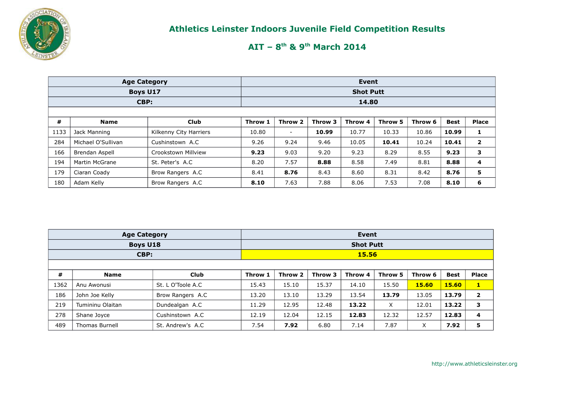

|      | <b>Age Category</b>   |                        |         |                          | Event   |         |         |         |             |                |  |
|------|-----------------------|------------------------|---------|--------------------------|---------|---------|---------|---------|-------------|----------------|--|
|      | Boys U17              | <b>Shot Putt</b>       |         |                          |         |         |         |         |             |                |  |
| CBP: |                       |                        |         |                          |         | 14.80   |         |         |             |                |  |
|      |                       |                        |         |                          |         |         |         |         |             |                |  |
| #    | <b>Name</b>           | <b>Club</b>            | Throw 1 | Throw 2                  | Throw 3 | Throw 4 | Throw 5 | Throw 6 | <b>Best</b> | <b>Place</b>   |  |
| 1133 | Jack Manning          | Kilkenny City Harriers | 10.80   | $\overline{\phantom{a}}$ | 10.99   | 10.77   | 10.33   | 10.86   | 10.99       | 1              |  |
| 284  | Michael O'Sullivan    | Cushinstown A.C        | 9.26    | 9.24                     | 9.46    | 10.05   | 10.41   | 10.24   | 10.41       | $\overline{2}$ |  |
| 166  | Brendan Aspell        | Crookstown Millview    | 9.23    | 9.03                     | 9.20    | 9.23    | 8.29    | 8.55    | 9.23        | 3              |  |
| 194  | <b>Martin McGrane</b> | St. Peter's A.C        | 8.20    | 7.57                     | 8.88    | 8.58    | 7.49    | 8.81    | 8.88        | 4              |  |
| 179  | Ciaran Coady          | Brow Rangers A.C       | 8.41    | 8.76                     | 8.43    | 8.60    | 8.31    | 8.42    | 8.76        | 5              |  |
| 180  | Adam Kelly            | Brow Rangers A.C       | 8.10    | 7.63                     | 7.88    | 8.06    | 7.53    | 7.08    | 8.10        | 6              |  |

|      | <b>Age Category</b>   |                   | Event            |         |         |         |         |         |             |                |  |  |
|------|-----------------------|-------------------|------------------|---------|---------|---------|---------|---------|-------------|----------------|--|--|
|      | <b>Boys U18</b>       |                   | <b>Shot Putt</b> |         |         |         |         |         |             |                |  |  |
|      | CBP:                  |                   | 15.56            |         |         |         |         |         |             |                |  |  |
|      |                       |                   |                  |         |         |         |         |         |             |                |  |  |
| #    | <b>Name</b>           | <b>Club</b>       | Throw 1          | Throw 2 | Throw 3 | Throw 4 | Throw 5 | Throw 6 | <b>Best</b> | <b>Place</b>   |  |  |
| 1362 | Anu Awonusi           | St. L O'Toole A.C | 15.43            | 15.10   | 15.37   | 14.10   | 15.50   | 15.60   | 15.60       | $\mathbf{I}$ . |  |  |
| 186  | John Joe Kelly        | Brow Rangers A.C  | 13.20            | 13.10   | 13.29   | 13.54   | 13.79   | 13.05   | 13.79       | $\overline{2}$ |  |  |
| 219  | Tumininu Olaitan      | Dundealgan A.C    | 11.29            | 12.95   | 12.48   | 13.22   | X       | 12.01   | 13.22       | 3              |  |  |
| 278  | Shane Joyce           | Cushinstown A.C   | 12.19            | 12.04   | 12.15   | 12.83   | 12.32   | 12.57   | 12.83       | 4              |  |  |
| 489  | <b>Thomas Burnell</b> | St. Andrew's A.C  | 7.54             | 7.92    | 6.80    | 7.14    | 7.87    | X       | 7.92        | 5              |  |  |